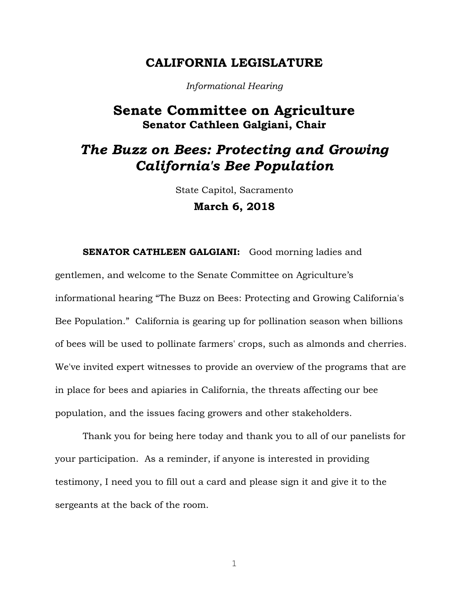### **CALIFORNIA LEGISLATURE**

*Informational Hearing*

## **Senate Committee on Agriculture Senator Cathleen Galgiani, Chair**

# *The Buzz on Bees: Protecting and Growing California's Bee Population*

State Capitol, Sacramento **March 6, 2018**

**SENATOR CATHLEEN GALGIANI:** Good morning ladies and gentlemen, and welcome to the Senate Committee on Agriculture's informational hearing "The Buzz on Bees: Protecting and Growing California's Bee Population." California is gearing up for pollination season when billions of bees will be used to pollinate farmers' crops, such as almonds and cherries. We've invited expert witnesses to provide an overview of the programs that are in place for bees and apiaries in California, the threats affecting our bee population, and the issues facing growers and other stakeholders.

Thank you for being here today and thank you to all of our panelists for your participation. As a reminder, if anyone is interested in providing testimony, I need you to fill out a card and please sign it and give it to the sergeants at the back of the room.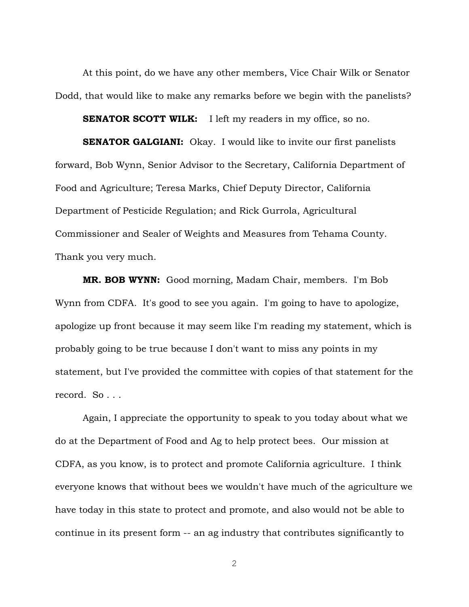At this point, do we have any other members, Vice Chair Wilk or Senator Dodd, that would like to make any remarks before we begin with the panelists?

**SENATOR SCOTT WILK:** I left my readers in my office, so no.

**SENATOR GALGIANI:** Okay. I would like to invite our first panelists forward, Bob Wynn, Senior Advisor to the Secretary, California Department of Food and Agriculture; Teresa Marks, Chief Deputy Director, California Department of Pesticide Regulation; and Rick Gurrola, Agricultural Commissioner and Sealer of Weights and Measures from Tehama County. Thank you very much.

**MR. BOB WYNN:** Good morning, Madam Chair, members. I'm Bob Wynn from CDFA. It's good to see you again. I'm going to have to apologize, apologize up front because it may seem like I'm reading my statement, which is probably going to be true because I don't want to miss any points in my statement, but I've provided the committee with copies of that statement for the record. So . . .

Again, I appreciate the opportunity to speak to you today about what we do at the Department of Food and Ag to help protect bees. Our mission at CDFA, as you know, is to protect and promote California agriculture. I think everyone knows that without bees we wouldn't have much of the agriculture we have today in this state to protect and promote, and also would not be able to continue in its present form -- an ag industry that contributes significantly to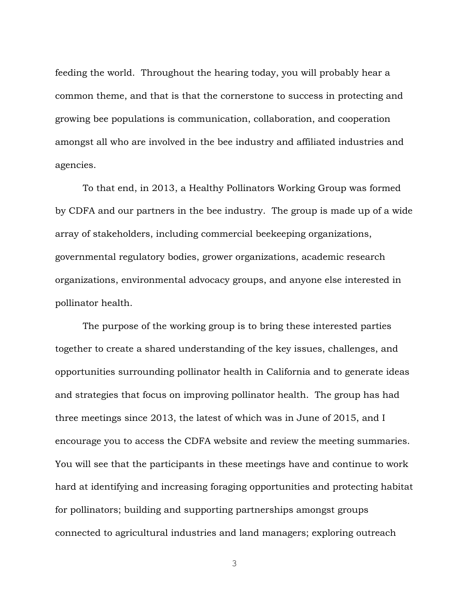feeding the world. Throughout the hearing today, you will probably hear a common theme, and that is that the cornerstone to success in protecting and growing bee populations is communication, collaboration, and cooperation amongst all who are involved in the bee industry and affiliated industries and agencies.

To that end, in 2013, a Healthy Pollinators Working Group was formed by CDFA and our partners in the bee industry. The group is made up of a wide array of stakeholders, including commercial beekeeping organizations, governmental regulatory bodies, grower organizations, academic research organizations, environmental advocacy groups, and anyone else interested in pollinator health.

The purpose of the working group is to bring these interested parties together to create a shared understanding of the key issues, challenges, and opportunities surrounding pollinator health in California and to generate ideas and strategies that focus on improving pollinator health. The group has had three meetings since 2013, the latest of which was in June of 2015, and I encourage you to access the CDFA website and review the meeting summaries. You will see that the participants in these meetings have and continue to work hard at identifying and increasing foraging opportunities and protecting habitat for pollinators; building and supporting partnerships amongst groups connected to agricultural industries and land managers; exploring outreach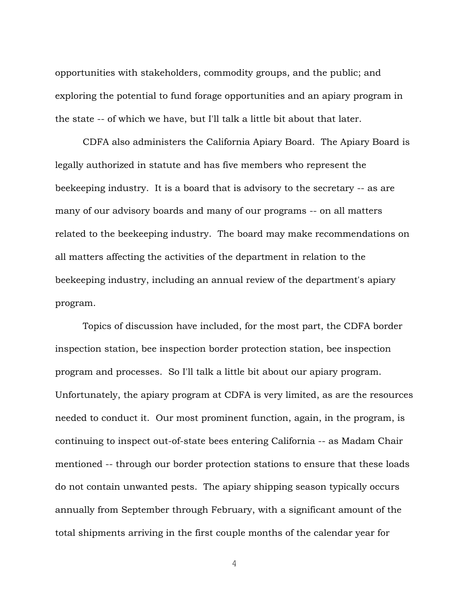opportunities with stakeholders, commodity groups, and the public; and exploring the potential to fund forage opportunities and an apiary program in the state -- of which we have, but I'll talk a little bit about that later.

CDFA also administers the California Apiary Board. The Apiary Board is legally authorized in statute and has five members who represent the beekeeping industry. It is a board that is advisory to the secretary -- as are many of our advisory boards and many of our programs -- on all matters related to the beekeeping industry. The board may make recommendations on all matters affecting the activities of the department in relation to the beekeeping industry, including an annual review of the department's apiary program.

Topics of discussion have included, for the most part, the CDFA border inspection station, bee inspection border protection station, bee inspection program and processes. So I'll talk a little bit about our apiary program. Unfortunately, the apiary program at CDFA is very limited, as are the resources needed to conduct it. Our most prominent function, again, in the program, is continuing to inspect out-of-state bees entering California -- as Madam Chair mentioned -- through our border protection stations to ensure that these loads do not contain unwanted pests. The apiary shipping season typically occurs annually from September through February, with a significant amount of the total shipments arriving in the first couple months of the calendar year for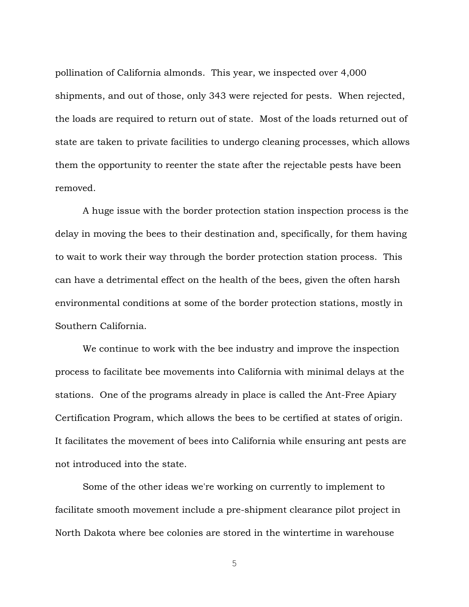pollination of California almonds. This year, we inspected over 4,000 shipments, and out of those, only 343 were rejected for pests. When rejected, the loads are required to return out of state. Most of the loads returned out of state are taken to private facilities to undergo cleaning processes, which allows them the opportunity to reenter the state after the rejectable pests have been removed.

A huge issue with the border protection station inspection process is the delay in moving the bees to their destination and, specifically, for them having to wait to work their way through the border protection station process. This can have a detrimental effect on the health of the bees, given the often harsh environmental conditions at some of the border protection stations, mostly in Southern California.

We continue to work with the bee industry and improve the inspection process to facilitate bee movements into California with minimal delays at the stations. One of the programs already in place is called the Ant-Free Apiary Certification Program, which allows the bees to be certified at states of origin. It facilitates the movement of bees into California while ensuring ant pests are not introduced into the state.

Some of the other ideas we're working on currently to implement to facilitate smooth movement include a pre-shipment clearance pilot project in North Dakota where bee colonies are stored in the wintertime in warehouse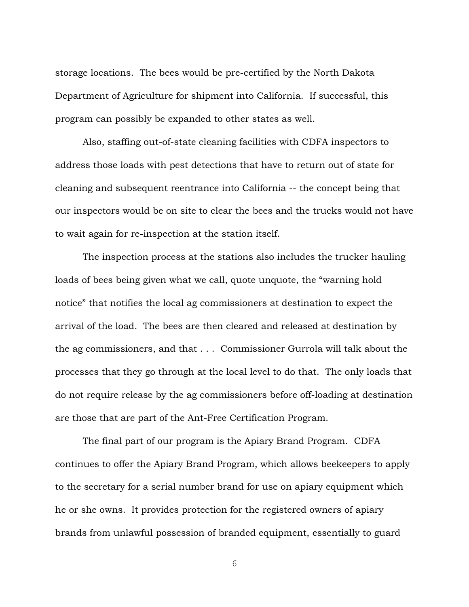storage locations. The bees would be pre-certified by the North Dakota Department of Agriculture for shipment into California. If successful, this program can possibly be expanded to other states as well.

Also, staffing out-of-state cleaning facilities with CDFA inspectors to address those loads with pest detections that have to return out of state for cleaning and subsequent reentrance into California -- the concept being that our inspectors would be on site to clear the bees and the trucks would not have to wait again for re-inspection at the station itself.

The inspection process at the stations also includes the trucker hauling loads of bees being given what we call, quote unquote, the "warning hold notice" that notifies the local ag commissioners at destination to expect the arrival of the load. The bees are then cleared and released at destination by the ag commissioners, and that . . . Commissioner Gurrola will talk about the processes that they go through at the local level to do that. The only loads that do not require release by the ag commissioners before off-loading at destination are those that are part of the Ant-Free Certification Program.

The final part of our program is the Apiary Brand Program. CDFA continues to offer the Apiary Brand Program, which allows beekeepers to apply to the secretary for a serial number brand for use on apiary equipment which he or she owns. It provides protection for the registered owners of apiary brands from unlawful possession of branded equipment, essentially to guard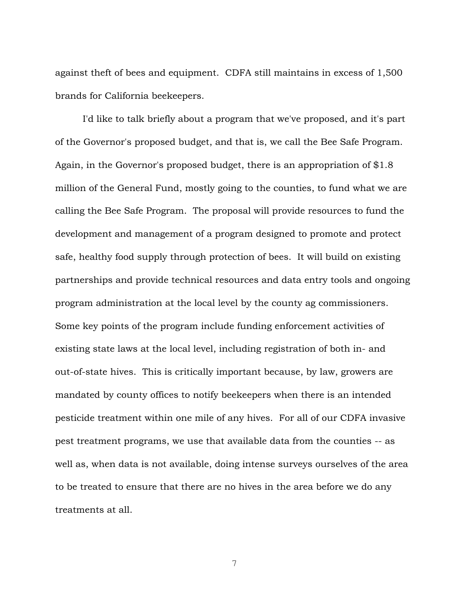against theft of bees and equipment. CDFA still maintains in excess of 1,500 brands for California beekeepers.

I'd like to talk briefly about a program that we've proposed, and it's part of the Governor's proposed budget, and that is, we call the Bee Safe Program. Again, in the Governor's proposed budget, there is an appropriation of \$1.8 million of the General Fund, mostly going to the counties, to fund what we are calling the Bee Safe Program. The proposal will provide resources to fund the development and management of a program designed to promote and protect safe, healthy food supply through protection of bees. It will build on existing partnerships and provide technical resources and data entry tools and ongoing program administration at the local level by the county ag commissioners. Some key points of the program include funding enforcement activities of existing state laws at the local level, including registration of both in- and out-of-state hives. This is critically important because, by law, growers are mandated by county offices to notify beekeepers when there is an intended pesticide treatment within one mile of any hives. For all of our CDFA invasive pest treatment programs, we use that available data from the counties -- as well as, when data is not available, doing intense surveys ourselves of the area to be treated to ensure that there are no hives in the area before we do any treatments at all.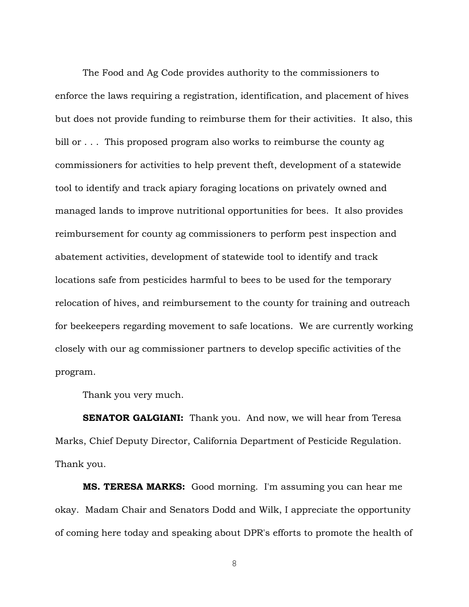The Food and Ag Code provides authority to the commissioners to enforce the laws requiring a registration, identification, and placement of hives but does not provide funding to reimburse them for their activities. It also, this bill or . . . This proposed program also works to reimburse the county ag commissioners for activities to help prevent theft, development of a statewide tool to identify and track apiary foraging locations on privately owned and managed lands to improve nutritional opportunities for bees. It also provides reimbursement for county ag commissioners to perform pest inspection and abatement activities, development of statewide tool to identify and track locations safe from pesticides harmful to bees to be used for the temporary relocation of hives, and reimbursement to the county for training and outreach for beekeepers regarding movement to safe locations. We are currently working closely with our ag commissioner partners to develop specific activities of the program.

Thank you very much.

**SENATOR GALGIANI:** Thank you. And now, we will hear from Teresa Marks, Chief Deputy Director, California Department of Pesticide Regulation. Thank you.

**MS. TERESA MARKS:** Good morning. I'm assuming you can hear me okay. Madam Chair and Senators Dodd and Wilk, I appreciate the opportunity of coming here today and speaking about DPR's efforts to promote the health of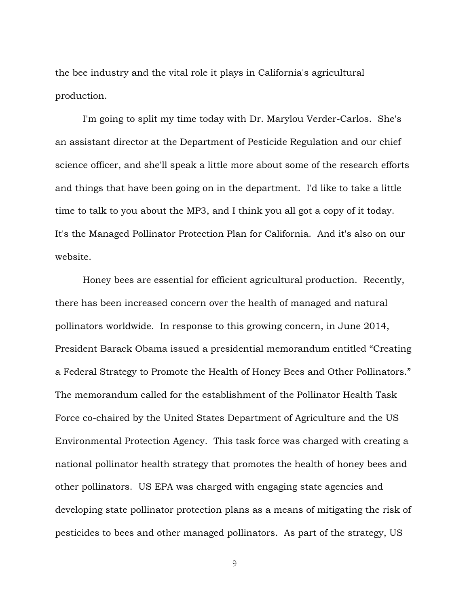the bee industry and the vital role it plays in California's agricultural production.

I'm going to split my time today with Dr. Marylou Verder-Carlos. She's an assistant director at the Department of Pesticide Regulation and our chief science officer, and she'll speak a little more about some of the research efforts and things that have been going on in the department. I'd like to take a little time to talk to you about the MP3, and I think you all got a copy of it today. It's the Managed Pollinator Protection Plan for California. And it's also on our website.

Honey bees are essential for efficient agricultural production. Recently, there has been increased concern over the health of managed and natural pollinators worldwide. In response to this growing concern, in June 2014, President Barack Obama issued a presidential memorandum entitled "Creating a Federal Strategy to Promote the Health of Honey Bees and Other Pollinators." The memorandum called for the establishment of the Pollinator Health Task Force co-chaired by the United States Department of Agriculture and the US Environmental Protection Agency. This task force was charged with creating a national pollinator health strategy that promotes the health of honey bees and other pollinators. US EPA was charged with engaging state agencies and developing state pollinator protection plans as a means of mitigating the risk of pesticides to bees and other managed pollinators. As part of the strategy, US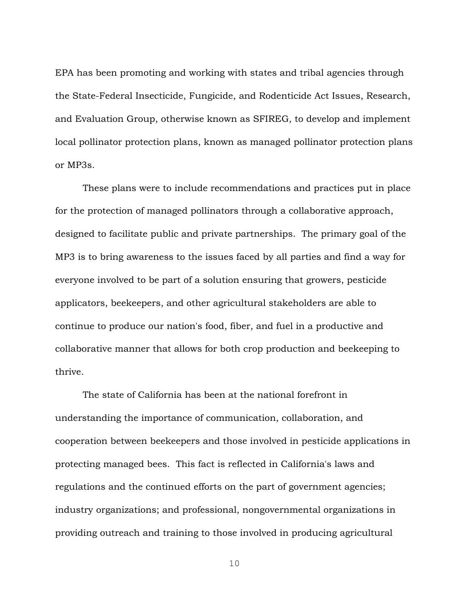EPA has been promoting and working with states and tribal agencies through the State-Federal Insecticide, Fungicide, and Rodenticide Act Issues, Research, and Evaluation Group, otherwise known as SFIREG, to develop and implement local pollinator protection plans, known as managed pollinator protection plans or MP3s.

These plans were to include recommendations and practices put in place for the protection of managed pollinators through a collaborative approach, designed to facilitate public and private partnerships. The primary goal of the MP3 is to bring awareness to the issues faced by all parties and find a way for everyone involved to be part of a solution ensuring that growers, pesticide applicators, beekeepers, and other agricultural stakeholders are able to continue to produce our nation's food, fiber, and fuel in a productive and collaborative manner that allows for both crop production and beekeeping to thrive.

The state of California has been at the national forefront in understanding the importance of communication, collaboration, and cooperation between beekeepers and those involved in pesticide applications in protecting managed bees. This fact is reflected in California's laws and regulations and the continued efforts on the part of government agencies; industry organizations; and professional, nongovernmental organizations in providing outreach and training to those involved in producing agricultural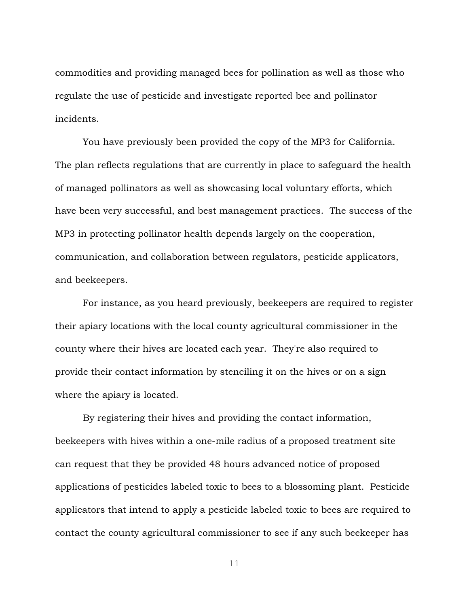commodities and providing managed bees for pollination as well as those who regulate the use of pesticide and investigate reported bee and pollinator incidents.

You have previously been provided the copy of the MP3 for California. The plan reflects regulations that are currently in place to safeguard the health of managed pollinators as well as showcasing local voluntary efforts, which have been very successful, and best management practices. The success of the MP3 in protecting pollinator health depends largely on the cooperation, communication, and collaboration between regulators, pesticide applicators, and beekeepers.

For instance, as you heard previously, beekeepers are required to register their apiary locations with the local county agricultural commissioner in the county where their hives are located each year. They're also required to provide their contact information by stenciling it on the hives or on a sign where the apiary is located.

By registering their hives and providing the contact information, beekeepers with hives within a one-mile radius of a proposed treatment site can request that they be provided 48 hours advanced notice of proposed applications of pesticides labeled toxic to bees to a blossoming plant. Pesticide applicators that intend to apply a pesticide labeled toxic to bees are required to contact the county agricultural commissioner to see if any such beekeeper has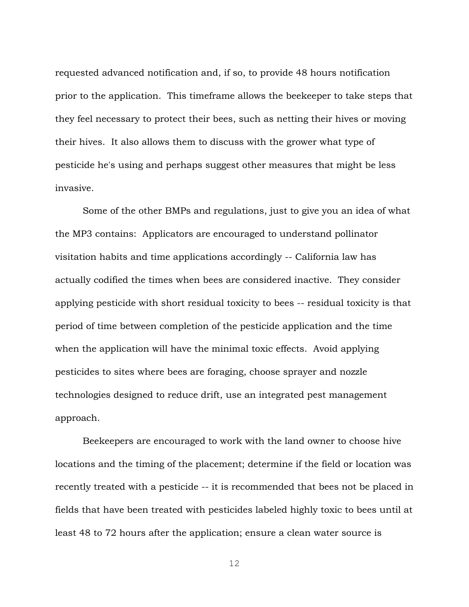requested advanced notification and, if so, to provide 48 hours notification prior to the application. This timeframe allows the beekeeper to take steps that they feel necessary to protect their bees, such as netting their hives or moving their hives. It also allows them to discuss with the grower what type of pesticide he's using and perhaps suggest other measures that might be less invasive.

Some of the other BMPs and regulations, just to give you an idea of what the MP3 contains: Applicators are encouraged to understand pollinator visitation habits and time applications accordingly -- California law has actually codified the times when bees are considered inactive. They consider applying pesticide with short residual toxicity to bees -- residual toxicity is that period of time between completion of the pesticide application and the time when the application will have the minimal toxic effects. Avoid applying pesticides to sites where bees are foraging, choose sprayer and nozzle technologies designed to reduce drift, use an integrated pest management approach.

Beekeepers are encouraged to work with the land owner to choose hive locations and the timing of the placement; determine if the field or location was recently treated with a pesticide -- it is recommended that bees not be placed in fields that have been treated with pesticides labeled highly toxic to bees until at least 48 to 72 hours after the application; ensure a clean water source is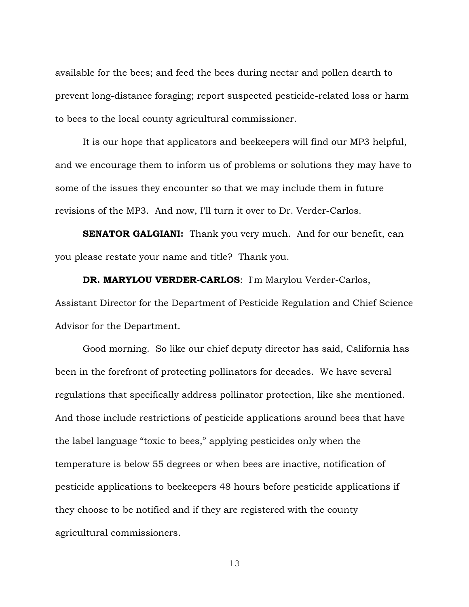available for the bees; and feed the bees during nectar and pollen dearth to prevent long-distance foraging; report suspected pesticide-related loss or harm to bees to the local county agricultural commissioner.

It is our hope that applicators and beekeepers will find our MP3 helpful, and we encourage them to inform us of problems or solutions they may have to some of the issues they encounter so that we may include them in future revisions of the MP3. And now, I'll turn it over to Dr. Verder-Carlos.

**SENATOR GALGIANI:** Thank you very much. And for our benefit, can you please restate your name and title? Thank you.

**DR. MARYLOU VERDER-CARLOS**: I'm Marylou Verder-Carlos, Assistant Director for the Department of Pesticide Regulation and Chief Science Advisor for the Department.

Good morning. So like our chief deputy director has said, California has been in the forefront of protecting pollinators for decades. We have several regulations that specifically address pollinator protection, like she mentioned. And those include restrictions of pesticide applications around bees that have the label language "toxic to bees," applying pesticides only when the temperature is below 55 degrees or when bees are inactive, notification of pesticide applications to beekeepers 48 hours before pesticide applications if they choose to be notified and if they are registered with the county agricultural commissioners.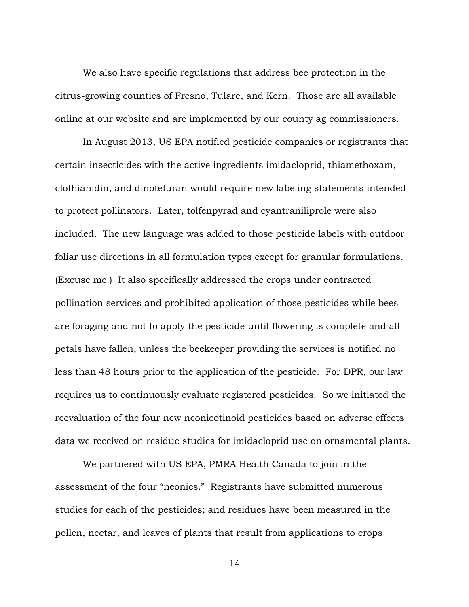We also have specific regulations that address bee protection in the citrus-growing counties of Fresno, Tulare, and Kern. Those are all available online at our website and are implemented by our county ag commissioners.

In August 2013, US EPA notified pesticide companies or registrants that certain insecticides with the active ingredients imidacloprid, thiamethoxam, clothianidin, and dinotefuran would require new labeling statements intended to protect pollinators. Later, tolfenpyrad and cyantraniliprole were also included. The new language was added to those pesticide labels with outdoor foliar use directions in all formulation types except for granular formulations. (Excuse me.) It also specifically addressed the crops under contracted pollination services and prohibited application of those pesticides while bees are foraging and not to apply the pesticide until flowering is complete and all petals have fallen, unless the beekeeper providing the services is notified no less than 48 hours prior to the application of the pesticide. For DPR, our law requires us to continuously evaluate registered pesticides. So we initiated the reevaluation of the four new neonicotinoid pesticides based on adverse effects data we received on residue studies for imidacloprid use on ornamental plants.

We partnered with US EPA, PMRA Health Canada to join in the assessment of the four "neonics." Registrants have submitted numerous studies for each of the pesticides; and residues have been measured in the pollen, nectar, and leaves of plants that result from applications to crops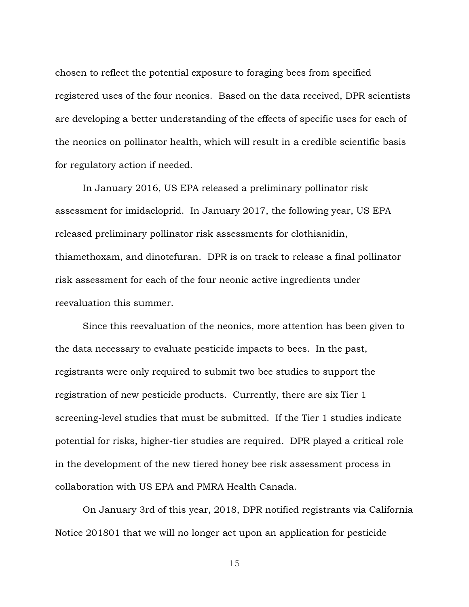chosen to reflect the potential exposure to foraging bees from specified registered uses of the four neonics. Based on the data received, DPR scientists are developing a better understanding of the effects of specific uses for each of the neonics on pollinator health, which will result in a credible scientific basis for regulatory action if needed.

In January 2016, US EPA released a preliminary pollinator risk assessment for imidacloprid. In January 2017, the following year, US EPA released preliminary pollinator risk assessments for clothianidin, thiamethoxam, and dinotefuran. DPR is on track to release a final pollinator risk assessment for each of the four neonic active ingredients under reevaluation this summer.

Since this reevaluation of the neonics, more attention has been given to the data necessary to evaluate pesticide impacts to bees. In the past, registrants were only required to submit two bee studies to support the registration of new pesticide products. Currently, there are six Tier 1 screening-level studies that must be submitted. If the Tier 1 studies indicate potential for risks, higher-tier studies are required. DPR played a critical role in the development of the new tiered honey bee risk assessment process in collaboration with US EPA and PMRA Health Canada.

On January 3rd of this year, 2018, DPR notified registrants via California Notice 201801 that we will no longer act upon an application for pesticide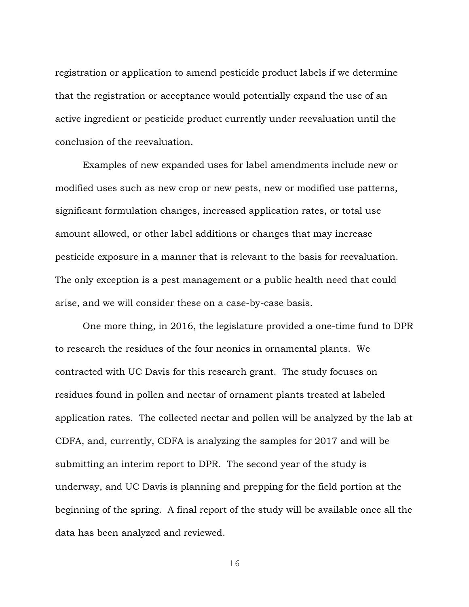registration or application to amend pesticide product labels if we determine that the registration or acceptance would potentially expand the use of an active ingredient or pesticide product currently under reevaluation until the conclusion of the reevaluation.

Examples of new expanded uses for label amendments include new or modified uses such as new crop or new pests, new or modified use patterns, significant formulation changes, increased application rates, or total use amount allowed, or other label additions or changes that may increase pesticide exposure in a manner that is relevant to the basis for reevaluation. The only exception is a pest management or a public health need that could arise, and we will consider these on a case-by-case basis.

One more thing, in 2016, the legislature provided a one-time fund to DPR to research the residues of the four neonics in ornamental plants. We contracted with UC Davis for this research grant. The study focuses on residues found in pollen and nectar of ornament plants treated at labeled application rates. The collected nectar and pollen will be analyzed by the lab at CDFA, and, currently, CDFA is analyzing the samples for 2017 and will be submitting an interim report to DPR. The second year of the study is underway, and UC Davis is planning and prepping for the field portion at the beginning of the spring. A final report of the study will be available once all the data has been analyzed and reviewed.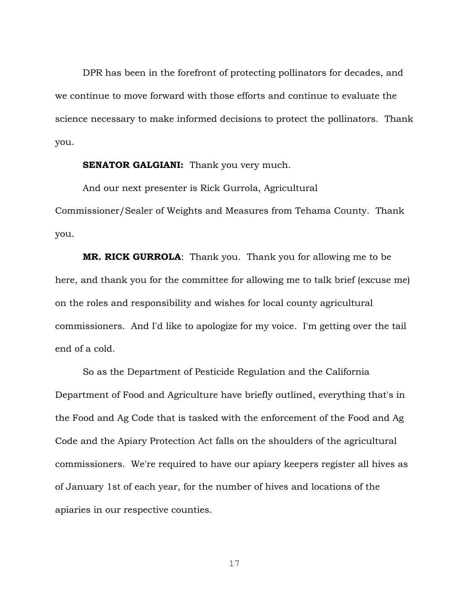DPR has been in the forefront of protecting pollinators for decades, and we continue to move forward with those efforts and continue to evaluate the science necessary to make informed decisions to protect the pollinators. Thank you.

#### **SENATOR GALGIANI:** Thank you very much.

And our next presenter is Rick Gurrola, Agricultural Commissioner/Sealer of Weights and Measures from Tehama County. Thank you.

**MR. RICK GURROLA**: Thank you. Thank you for allowing me to be here, and thank you for the committee for allowing me to talk brief (excuse me) on the roles and responsibility and wishes for local county agricultural commissioners. And I'd like to apologize for my voice. I'm getting over the tail end of a cold.

So as the Department of Pesticide Regulation and the California Department of Food and Agriculture have briefly outlined, everything that's in the Food and Ag Code that is tasked with the enforcement of the Food and Ag Code and the Apiary Protection Act falls on the shoulders of the agricultural commissioners. We're required to have our apiary keepers register all hives as of January 1st of each year, for the number of hives and locations of the apiaries in our respective counties.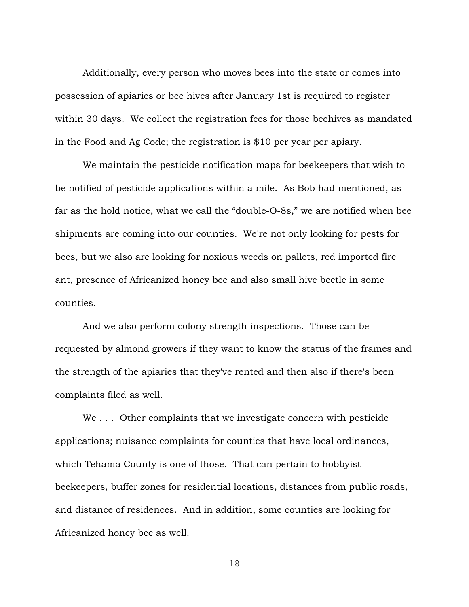Additionally, every person who moves bees into the state or comes into possession of apiaries or bee hives after January 1st is required to register within 30 days. We collect the registration fees for those beehives as mandated in the Food and Ag Code; the registration is \$10 per year per apiary.

We maintain the pesticide notification maps for beekeepers that wish to be notified of pesticide applications within a mile. As Bob had mentioned, as far as the hold notice, what we call the "double-O-8s," we are notified when bee shipments are coming into our counties. We're not only looking for pests for bees, but we also are looking for noxious weeds on pallets, red imported fire ant, presence of Africanized honey bee and also small hive beetle in some counties.

And we also perform colony strength inspections. Those can be requested by almond growers if they want to know the status of the frames and the strength of the apiaries that they've rented and then also if there's been complaints filed as well.

We . . . Other complaints that we investigate concern with pesticide applications; nuisance complaints for counties that have local ordinances, which Tehama County is one of those. That can pertain to hobbyist beekeepers, buffer zones for residential locations, distances from public roads, and distance of residences. And in addition, some counties are looking for Africanized honey bee as well.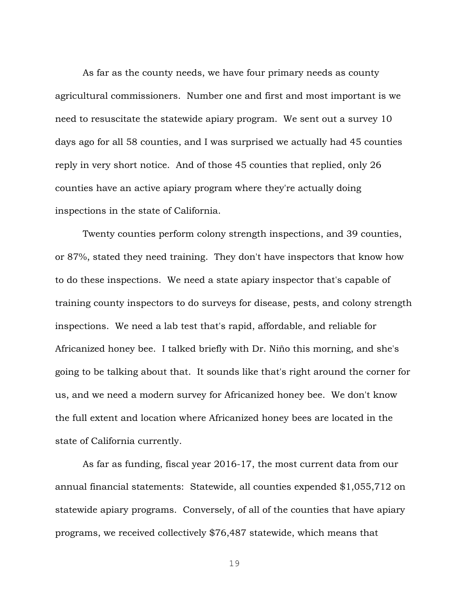As far as the county needs, we have four primary needs as county agricultural commissioners. Number one and first and most important is we need to resuscitate the statewide apiary program. We sent out a survey 10 days ago for all 58 counties, and I was surprised we actually had 45 counties reply in very short notice. And of those 45 counties that replied, only 26 counties have an active apiary program where they're actually doing inspections in the state of California.

Twenty counties perform colony strength inspections, and 39 counties, or 87%, stated they need training. They don't have inspectors that know how to do these inspections. We need a state apiary inspector that's capable of training county inspectors to do surveys for disease, pests, and colony strength inspections. We need a lab test that's rapid, affordable, and reliable for Africanized honey bee. I talked briefly with Dr. Niño this morning, and she's going to be talking about that. It sounds like that's right around the corner for us, and we need a modern survey for Africanized honey bee. We don't know the full extent and location where Africanized honey bees are located in the state of California currently.

As far as funding, fiscal year 2016-17, the most current data from our annual financial statements: Statewide, all counties expended \$1,055,712 on statewide apiary programs. Conversely, of all of the counties that have apiary programs, we received collectively \$76,487 statewide, which means that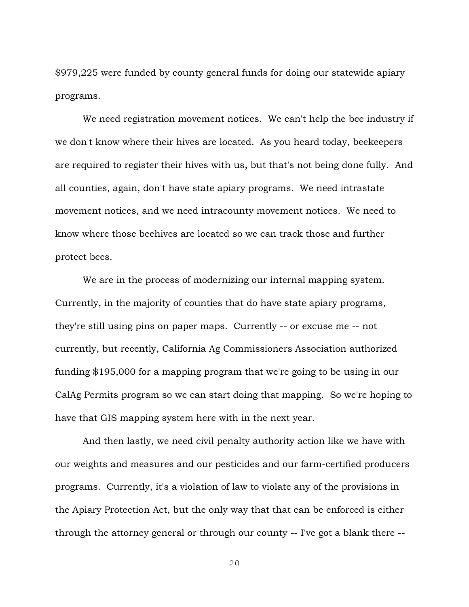\$979,225 were funded by county general funds for doing our statewide apiary programs.

We need registration movement notices. We can't help the bee industry if we don't know where their hives are located. As you heard today, beekeepers are required to register their hives with us, but that's not being done fully. And all counties, again, don't have state apiary programs. We need intrastate movement notices, and we need intracounty movement notices. We need to know where those beehives are located so we can track those and further protect bees.

We are in the process of modernizing our internal mapping system. Currently, in the majority of counties that do have state apiary programs, they're still using pins on paper maps. Currently -- or excuse me -- not currently, but recently, California Ag Commissioners Association authorized funding \$195,000 for a mapping program that we're going to be using in our CalAg Permits program so we can start doing that mapping. So we're hoping to have that GIS mapping system here with in the next year.

And then lastly, we need civil penalty authority action like we have with our weights and measures and our pesticides and our farm-certified producers programs. Currently, it's a violation of law to violate any of the provisions in the Apiary Protection Act, but the only way that that can be enforced is either through the attorney general or through our county -- I've got a blank there --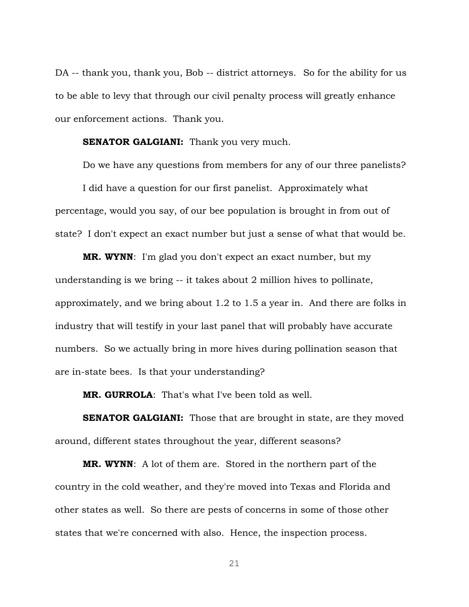DA -- thank you, thank you, Bob -- district attorneys. So for the ability for us to be able to levy that through our civil penalty process will greatly enhance our enforcement actions. Thank you.

**SENATOR GALGIANI:** Thank you very much.

Do we have any questions from members for any of our three panelists? I did have a question for our first panelist. Approximately what percentage, would you say, of our bee population is brought in from out of state? I don't expect an exact number but just a sense of what that would be.

**MR. WYNN**: I'm glad you don't expect an exact number, but my understanding is we bring -- it takes about 2 million hives to pollinate, approximately, and we bring about 1.2 to 1.5 a year in. And there are folks in industry that will testify in your last panel that will probably have accurate numbers. So we actually bring in more hives during pollination season that are in-state bees. Is that your understanding?

**MR. GURROLA**: That's what I've been told as well.

**SENATOR GALGIANI:** Those that are brought in state, are they moved around, different states throughout the year, different seasons?

**MR. WYNN**: A lot of them are. Stored in the northern part of the country in the cold weather, and they're moved into Texas and Florida and other states as well. So there are pests of concerns in some of those other states that we're concerned with also. Hence, the inspection process.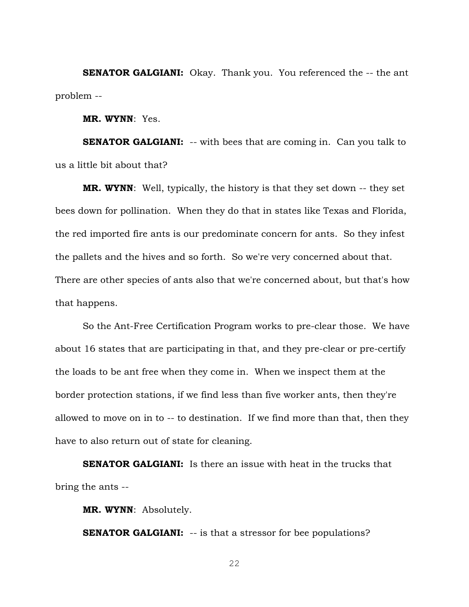**SENATOR GALGIANI:** Okay. Thank you. You referenced the -- the ant problem --

**MR. WYNN**: Yes.

**SENATOR GALGIANI:** -- with bees that are coming in. Can you talk to us a little bit about that?

**MR. WYNN**: Well, typically, the history is that they set down -- they set bees down for pollination. When they do that in states like Texas and Florida, the red imported fire ants is our predominate concern for ants. So they infest the pallets and the hives and so forth. So we're very concerned about that. There are other species of ants also that we're concerned about, but that's how that happens.

So the Ant-Free Certification Program works to pre-clear those. We have about 16 states that are participating in that, and they pre-clear or pre-certify the loads to be ant free when they come in. When we inspect them at the border protection stations, if we find less than five worker ants, then they're allowed to move on in to -- to destination. If we find more than that, then they have to also return out of state for cleaning.

**SENATOR GALGIANI:** Is there an issue with heat in the trucks that bring the ants --

**MR. WYNN**: Absolutely.

**SENATOR GALGIANI:** -- is that a stressor for bee populations?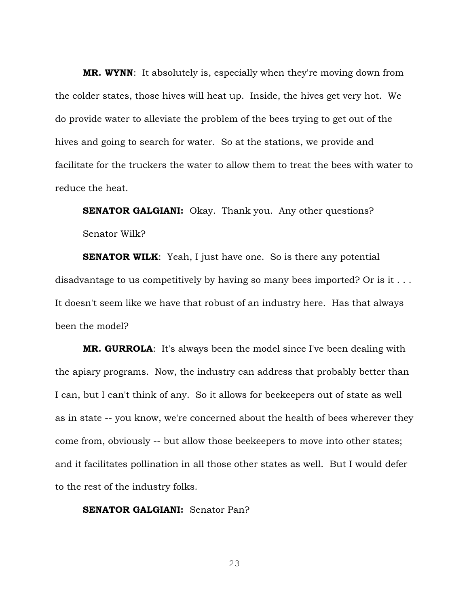**MR. WYNN**: It absolutely is, especially when they're moving down from the colder states, those hives will heat up. Inside, the hives get very hot. We do provide water to alleviate the problem of the bees trying to get out of the hives and going to search for water. So at the stations, we provide and facilitate for the truckers the water to allow them to treat the bees with water to reduce the heat.

**SENATOR GALGIANI:** Okay. Thank you. Any other questions? Senator Wilk?

**SENATOR WILK:** Yeah, I just have one. So is there any potential disadvantage to us competitively by having so many bees imported? Or is it ... It doesn't seem like we have that robust of an industry here. Has that always been the model?

**MR. GURROLA**: It's always been the model since I've been dealing with the apiary programs. Now, the industry can address that probably better than I can, but I can't think of any. So it allows for beekeepers out of state as well as in state -- you know, we're concerned about the health of bees wherever they come from, obviously -- but allow those beekeepers to move into other states; and it facilitates pollination in all those other states as well. But I would defer to the rest of the industry folks.

**SENATOR GALGIANI:** Senator Pan?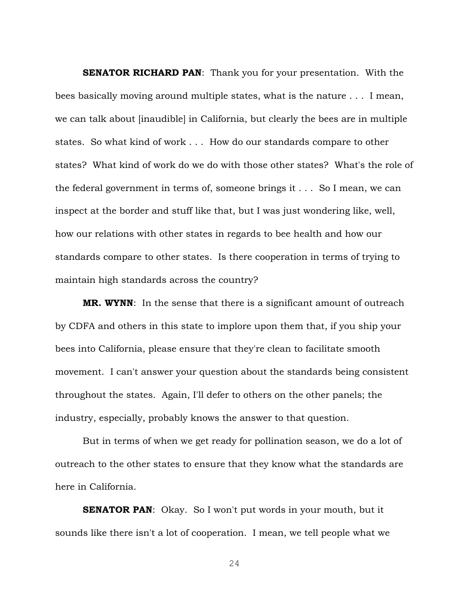**SENATOR RICHARD PAN:** Thank you for your presentation. With the bees basically moving around multiple states, what is the nature . . . I mean, we can talk about [inaudible] in California, but clearly the bees are in multiple states. So what kind of work . . . How do our standards compare to other states? What kind of work do we do with those other states? What's the role of the federal government in terms of, someone brings it . . . So I mean, we can inspect at the border and stuff like that, but I was just wondering like, well, how our relations with other states in regards to bee health and how our standards compare to other states. Is there cooperation in terms of trying to maintain high standards across the country?

**MR. WYNN:** In the sense that there is a significant amount of outreach by CDFA and others in this state to implore upon them that, if you ship your bees into California, please ensure that they're clean to facilitate smooth movement. I can't answer your question about the standards being consistent throughout the states. Again, I'll defer to others on the other panels; the industry, especially, probably knows the answer to that question.

But in terms of when we get ready for pollination season, we do a lot of outreach to the other states to ensure that they know what the standards are here in California.

**SENATOR PAN:** Okay. So I won't put words in your mouth, but it sounds like there isn't a lot of cooperation. I mean, we tell people what we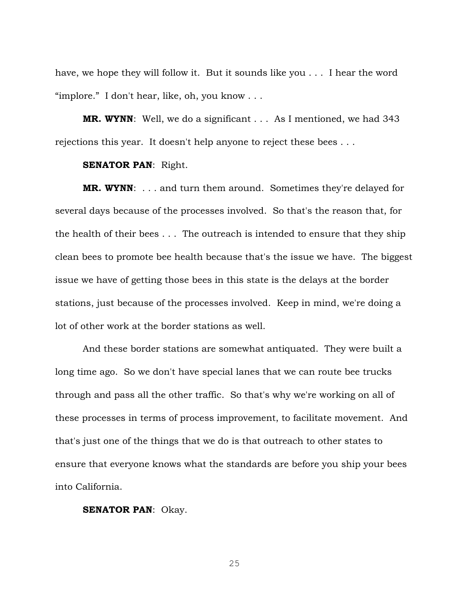have, we hope they will follow it. But it sounds like you . . . I hear the word "implore." I don't hear, like, oh, you know  $\dots$ 

**MR. WYNN:** Well, we do a significant . . . As I mentioned, we had 343 rejections this year. It doesn't help anyone to reject these bees . . .

#### **SENATOR PAN**: Right.

**MR. WYNN**: . . . and turn them around. Sometimes they're delayed for several days because of the processes involved. So that's the reason that, for the health of their bees . . . The outreach is intended to ensure that they ship clean bees to promote bee health because that's the issue we have. The biggest issue we have of getting those bees in this state is the delays at the border stations, just because of the processes involved. Keep in mind, we're doing a lot of other work at the border stations as well.

And these border stations are somewhat antiquated. They were built a long time ago. So we don't have special lanes that we can route bee trucks through and pass all the other traffic. So that's why we're working on all of these processes in terms of process improvement, to facilitate movement. And that's just one of the things that we do is that outreach to other states to ensure that everyone knows what the standards are before you ship your bees into California.

#### **SENATOR PAN**: Okay.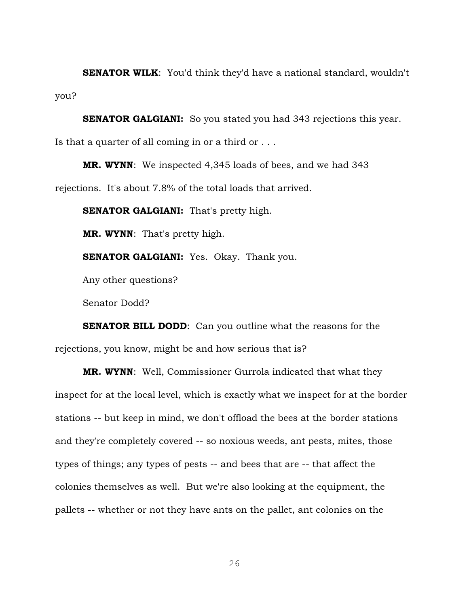**SENATOR WILK:** You'd think they'd have a national standard, wouldn't you?

**SENATOR GALGIANI:** So you stated you had 343 rejections this year. Is that a quarter of all coming in or a third or . . .

**MR. WYNN**: We inspected 4,345 loads of bees, and we had 343 rejections. It's about 7.8% of the total loads that arrived.

**SENATOR GALGIANI:** That's pretty high.

**MR. WYNN**: That's pretty high.

**SENATOR GALGIANI:** Yes. Okay. Thank you.

Any other questions?

Senator Dodd?

**SENATOR BILL DODD:** Can you outline what the reasons for the rejections, you know, might be and how serious that is?

**MR. WYNN**: Well, Commissioner Gurrola indicated that what they inspect for at the local level, which is exactly what we inspect for at the border stations -- but keep in mind, we don't offload the bees at the border stations and they're completely covered -- so noxious weeds, ant pests, mites, those types of things; any types of pests -- and bees that are -- that affect the colonies themselves as well. But we're also looking at the equipment, the pallets -- whether or not they have ants on the pallet, ant colonies on the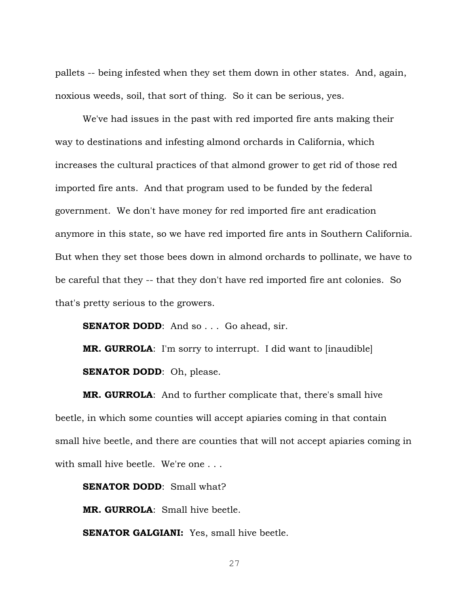pallets -- being infested when they set them down in other states. And, again, noxious weeds, soil, that sort of thing. So it can be serious, yes.

We've had issues in the past with red imported fire ants making their way to destinations and infesting almond orchards in California, which increases the cultural practices of that almond grower to get rid of those red imported fire ants. And that program used to be funded by the federal government. We don't have money for red imported fire ant eradication anymore in this state, so we have red imported fire ants in Southern California. But when they set those bees down in almond orchards to pollinate, we have to be careful that they -- that they don't have red imported fire ant colonies. So that's pretty serious to the growers.

**SENATOR DODD:** And so . . . Go ahead, sir.

**MR. GURROLA**: I'm sorry to interrupt. I did want to [inaudible] **SENATOR DODD:** Oh, please.

**MR. GURROLA**: And to further complicate that, there's small hive beetle, in which some counties will accept apiaries coming in that contain small hive beetle, and there are counties that will not accept apiaries coming in with small hive beetle. We're one . . .

**SENATOR DODD:** Small what?

**MR. GURROLA**: Small hive beetle.

**SENATOR GALGIANI:** Yes, small hive beetle.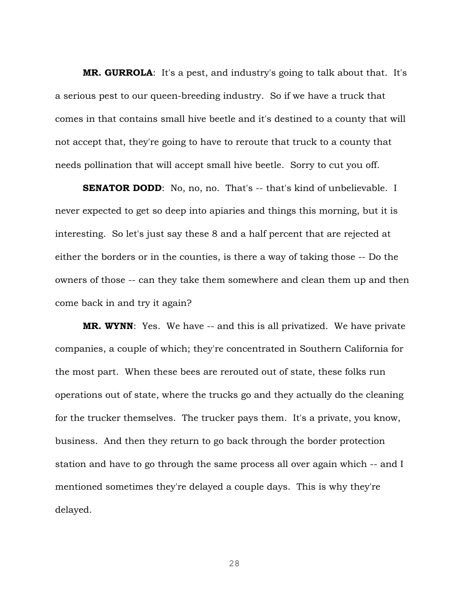**MR. GURROLA**: It's a pest, and industry's going to talk about that. It's a serious pest to our queen-breeding industry. So if we have a truck that comes in that contains small hive beetle and it's destined to a county that will not accept that, they're going to have to reroute that truck to a county that needs pollination that will accept small hive beetle. Sorry to cut you off.

**SENATOR DODD:** No, no, no. That's -- that's kind of unbelievable. I never expected to get so deep into apiaries and things this morning, but it is interesting. So let's just say these 8 and a half percent that are rejected at either the borders or in the counties, is there a way of taking those -- Do the owners of those -- can they take them somewhere and clean them up and then come back in and try it again?

**MR. WYNN**: Yes. We have -- and this is all privatized. We have private companies, a couple of which; they're concentrated in Southern California for the most part. When these bees are rerouted out of state, these folks run operations out of state, where the trucks go and they actually do the cleaning for the trucker themselves. The trucker pays them. It's a private, you know, business. And then they return to go back through the border protection station and have to go through the same process all over again which -- and I mentioned sometimes they're delayed a couple days. This is why they're delayed.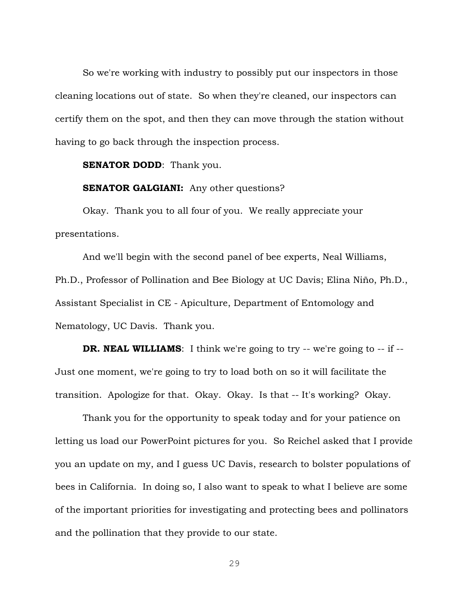So we're working with industry to possibly put our inspectors in those cleaning locations out of state. So when they're cleaned, our inspectors can certify them on the spot, and then they can move through the station without having to go back through the inspection process.

**SENATOR DODD:** Thank you.

**SENATOR GALGIANI:** Any other questions?

Okay. Thank you to all four of you. We really appreciate your presentations.

And we'll begin with the second panel of bee experts, Neal Williams, Ph.D., Professor of Pollination and Bee Biology at UC Davis; Elina Niño, Ph.D., Assistant Specialist in CE - Apiculture, Department of Entomology and Nematology, UC Davis. Thank you.

**DR. NEAL WILLIAMS:** I think we're going to try -- we're going to -- if --Just one moment, we're going to try to load both on so it will facilitate the transition. Apologize for that. Okay. Okay. Is that -- It's working? Okay.

Thank you for the opportunity to speak today and for your patience on letting us load our PowerPoint pictures for you. So Reichel asked that I provide you an update on my, and I guess UC Davis, research to bolster populations of bees in California. In doing so, I also want to speak to what I believe are some of the important priorities for investigating and protecting bees and pollinators and the pollination that they provide to our state.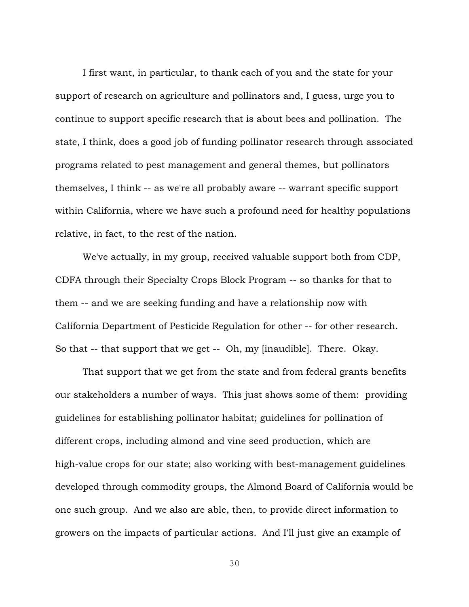I first want, in particular, to thank each of you and the state for your support of research on agriculture and pollinators and, I guess, urge you to continue to support specific research that is about bees and pollination. The state, I think, does a good job of funding pollinator research through associated programs related to pest management and general themes, but pollinators themselves, I think -- as we're all probably aware -- warrant specific support within California, where we have such a profound need for healthy populations relative, in fact, to the rest of the nation.

We've actually, in my group, received valuable support both from CDP, CDFA through their Specialty Crops Block Program -- so thanks for that to them -- and we are seeking funding and have a relationship now with California Department of Pesticide Regulation for other -- for other research. So that -- that support that we get -- Oh, my [inaudible]. There. Okay.

That support that we get from the state and from federal grants benefits our stakeholders a number of ways. This just shows some of them: providing guidelines for establishing pollinator habitat; guidelines for pollination of different crops, including almond and vine seed production, which are high-value crops for our state; also working with best-management guidelines developed through commodity groups, the Almond Board of California would be one such group. And we also are able, then, to provide direct information to growers on the impacts of particular actions. And I'll just give an example of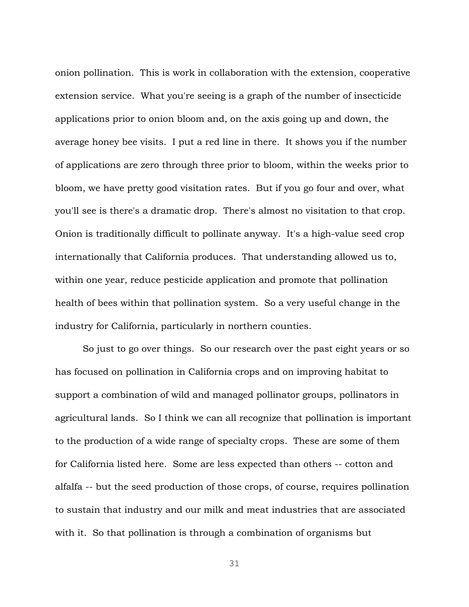onion pollination. This is work in collaboration with the extension, cooperative extension service. What you're seeing is a graph of the number of insecticide applications prior to onion bloom and, on the axis going up and down, the average honey bee visits. I put a red line in there. It shows you if the number of applications are zero through three prior to bloom, within the weeks prior to bloom, we have pretty good visitation rates. But if you go four and over, what you'll see is there's a dramatic drop. There's almost no visitation to that crop. Onion is traditionally difficult to pollinate anyway. It's a high-value seed crop internationally that California produces. That understanding allowed us to, within one year, reduce pesticide application and promote that pollination health of bees within that pollination system. So a very useful change in the industry for California, particularly in northern counties.

So just to go over things. So our research over the past eight years or so has focused on pollination in California crops and on improving habitat to support a combination of wild and managed pollinator groups, pollinators in agricultural lands. So I think we can all recognize that pollination is important to the production of a wide range of specialty crops. These are some of them for California listed here. Some are less expected than others -- cotton and alfalfa -- but the seed production of those crops, of course, requires pollination to sustain that industry and our milk and meat industries that are associated with it. So that pollination is through a combination of organisms but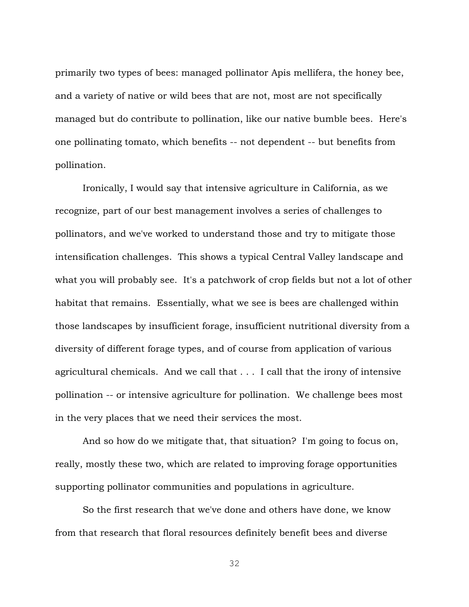primarily two types of bees: managed pollinator Apis mellifera, the honey bee, and a variety of native or wild bees that are not, most are not specifically managed but do contribute to pollination, like our native bumble bees. Here's one pollinating tomato, which benefits -- not dependent -- but benefits from pollination.

Ironically, I would say that intensive agriculture in California, as we recognize, part of our best management involves a series of challenges to pollinators, and we've worked to understand those and try to mitigate those intensification challenges. This shows a typical Central Valley landscape and what you will probably see. It's a patchwork of crop fields but not a lot of other habitat that remains. Essentially, what we see is bees are challenged within those landscapes by insufficient forage, insufficient nutritional diversity from a diversity of different forage types, and of course from application of various agricultural chemicals. And we call that . . . I call that the irony of intensive pollination -- or intensive agriculture for pollination. We challenge bees most in the very places that we need their services the most.

And so how do we mitigate that, that situation? I'm going to focus on, really, mostly these two, which are related to improving forage opportunities supporting pollinator communities and populations in agriculture.

So the first research that we've done and others have done, we know from that research that floral resources definitely benefit bees and diverse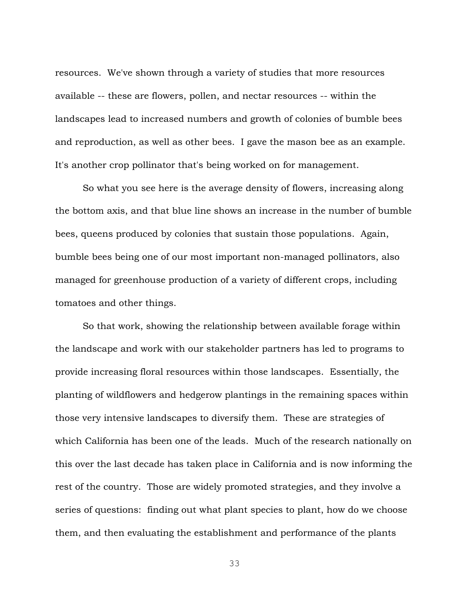resources. We've shown through a variety of studies that more resources available -- these are flowers, pollen, and nectar resources -- within the landscapes lead to increased numbers and growth of colonies of bumble bees and reproduction, as well as other bees. I gave the mason bee as an example. It's another crop pollinator that's being worked on for management.

So what you see here is the average density of flowers, increasing along the bottom axis, and that blue line shows an increase in the number of bumble bees, queens produced by colonies that sustain those populations. Again, bumble bees being one of our most important non-managed pollinators, also managed for greenhouse production of a variety of different crops, including tomatoes and other things.

So that work, showing the relationship between available forage within the landscape and work with our stakeholder partners has led to programs to provide increasing floral resources within those landscapes. Essentially, the planting of wildflowers and hedgerow plantings in the remaining spaces within those very intensive landscapes to diversify them. These are strategies of which California has been one of the leads. Much of the research nationally on this over the last decade has taken place in California and is now informing the rest of the country. Those are widely promoted strategies, and they involve a series of questions: finding out what plant species to plant, how do we choose them, and then evaluating the establishment and performance of the plants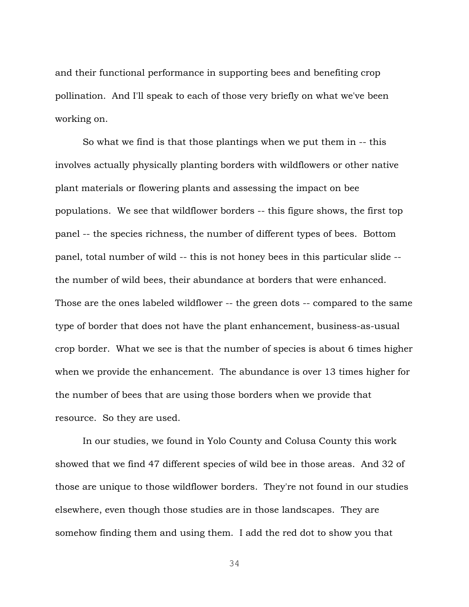and their functional performance in supporting bees and benefiting crop pollination. And I'll speak to each of those very briefly on what we've been working on.

So what we find is that those plantings when we put them in -- this involves actually physically planting borders with wildflowers or other native plant materials or flowering plants and assessing the impact on bee populations. We see that wildflower borders -- this figure shows, the first top panel -- the species richness, the number of different types of bees. Bottom panel, total number of wild -- this is not honey bees in this particular slide - the number of wild bees, their abundance at borders that were enhanced. Those are the ones labeled wildflower -- the green dots -- compared to the same type of border that does not have the plant enhancement, business-as-usual crop border. What we see is that the number of species is about 6 times higher when we provide the enhancement. The abundance is over 13 times higher for the number of bees that are using those borders when we provide that resource. So they are used.

In our studies, we found in Yolo County and Colusa County this work showed that we find 47 different species of wild bee in those areas. And 32 of those are unique to those wildflower borders. They're not found in our studies elsewhere, even though those studies are in those landscapes. They are somehow finding them and using them. I add the red dot to show you that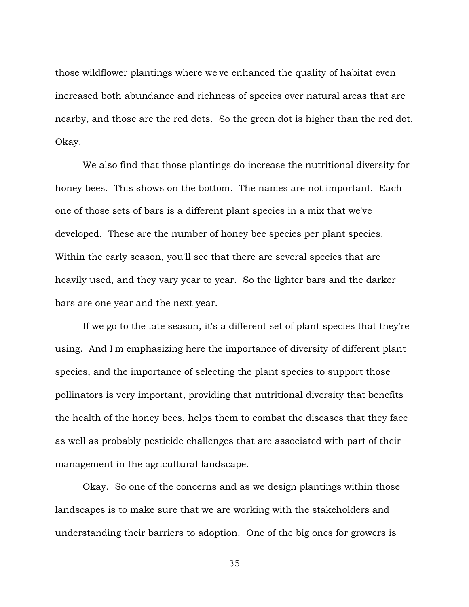those wildflower plantings where we've enhanced the quality of habitat even increased both abundance and richness of species over natural areas that are nearby, and those are the red dots. So the green dot is higher than the red dot. Okay.

We also find that those plantings do increase the nutritional diversity for honey bees. This shows on the bottom. The names are not important. Each one of those sets of bars is a different plant species in a mix that we've developed. These are the number of honey bee species per plant species. Within the early season, you'll see that there are several species that are heavily used, and they vary year to year. So the lighter bars and the darker bars are one year and the next year.

If we go to the late season, it's a different set of plant species that they're using. And I'm emphasizing here the importance of diversity of different plant species, and the importance of selecting the plant species to support those pollinators is very important, providing that nutritional diversity that benefits the health of the honey bees, helps them to combat the diseases that they face as well as probably pesticide challenges that are associated with part of their management in the agricultural landscape.

Okay. So one of the concerns and as we design plantings within those landscapes is to make sure that we are working with the stakeholders and understanding their barriers to adoption. One of the big ones for growers is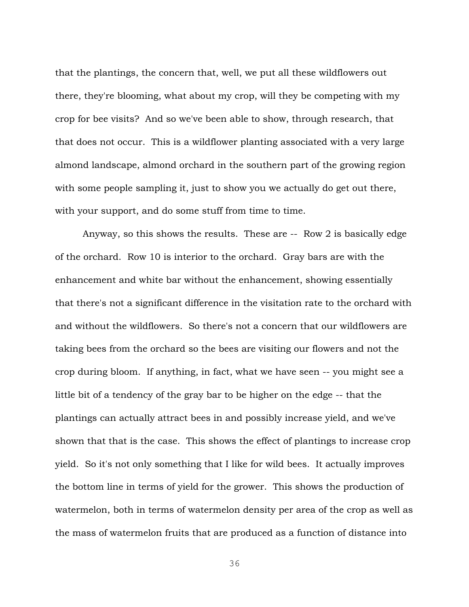that the plantings, the concern that, well, we put all these wildflowers out there, they're blooming, what about my crop, will they be competing with my crop for bee visits? And so we've been able to show, through research, that that does not occur. This is a wildflower planting associated with a very large almond landscape, almond orchard in the southern part of the growing region with some people sampling it, just to show you we actually do get out there, with your support, and do some stuff from time to time.

Anyway, so this shows the results. These are -- Row 2 is basically edge of the orchard. Row 10 is interior to the orchard. Gray bars are with the enhancement and white bar without the enhancement, showing essentially that there's not a significant difference in the visitation rate to the orchard with and without the wildflowers. So there's not a concern that our wildflowers are taking bees from the orchard so the bees are visiting our flowers and not the crop during bloom. If anything, in fact, what we have seen -- you might see a little bit of a tendency of the gray bar to be higher on the edge -- that the plantings can actually attract bees in and possibly increase yield, and we've shown that that is the case. This shows the effect of plantings to increase crop yield. So it's not only something that I like for wild bees. It actually improves the bottom line in terms of yield for the grower. This shows the production of watermelon, both in terms of watermelon density per area of the crop as well as the mass of watermelon fruits that are produced as a function of distance into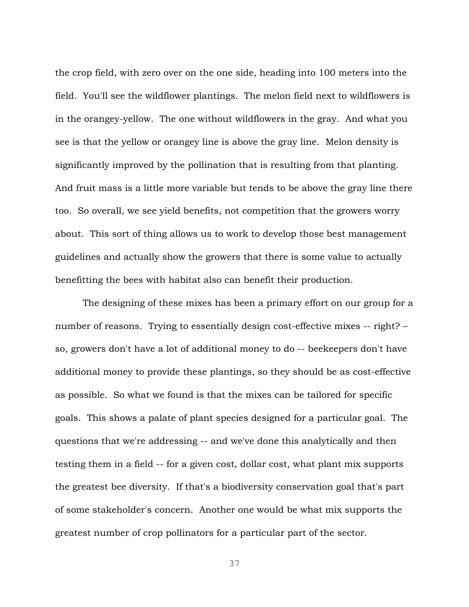the crop field, with zero over on the one side, heading into 100 meters into the field. You'll see the wildflower plantings. The melon field next to wildflowers is in the orangey-yellow. The one without wildflowers in the gray. And what you see is that the yellow or orangey line is above the gray line. Melon density is significantly improved by the pollination that is resulting from that planting. And fruit mass is a little more variable but tends to be above the gray line there too. So overall, we see yield benefits, not competition that the growers worry about. This sort of thing allows us to work to develop those best management guidelines and actually show the growers that there is some value to actually benefitting the bees with habitat also can benefit their production.

The designing of these mixes has been a primary effort on our group for a number of reasons. Trying to essentially design cost-effective mixes -- right? – so, growers don't have a lot of additional money to do -- beekeepers don't have additional money to provide these plantings, so they should be as cost-effective as possible. So what we found is that the mixes can be tailored for specific goals. This shows a palate of plant species designed for a particular goal. The questions that we're addressing -- and we've done this analytically and then testing them in a field -- for a given cost, dollar cost, what plant mix supports the greatest bee diversity. If that's a biodiversity conservation goal that's part of some stakeholder's concern. Another one would be what mix supports the greatest number of crop pollinators for a particular part of the sector.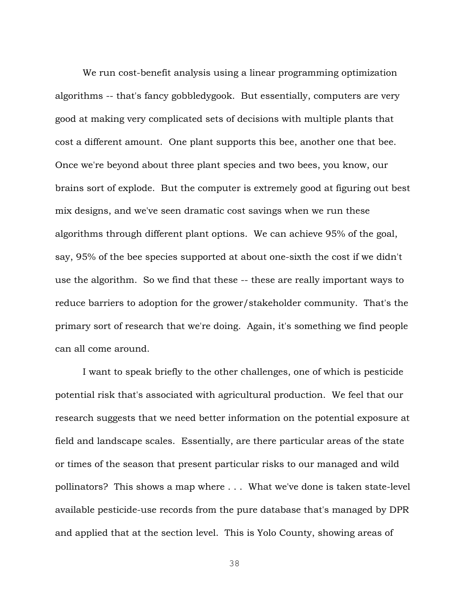We run cost-benefit analysis using a linear programming optimization algorithms -- that's fancy gobbledygook. But essentially, computers are very good at making very complicated sets of decisions with multiple plants that cost a different amount. One plant supports this bee, another one that bee. Once we're beyond about three plant species and two bees, you know, our brains sort of explode. But the computer is extremely good at figuring out best mix designs, and we've seen dramatic cost savings when we run these algorithms through different plant options. We can achieve 95% of the goal, say, 95% of the bee species supported at about one-sixth the cost if we didn't use the algorithm. So we find that these -- these are really important ways to reduce barriers to adoption for the grower/stakeholder community. That's the primary sort of research that we're doing. Again, it's something we find people can all come around.

I want to speak briefly to the other challenges, one of which is pesticide potential risk that's associated with agricultural production. We feel that our research suggests that we need better information on the potential exposure at field and landscape scales. Essentially, are there particular areas of the state or times of the season that present particular risks to our managed and wild pollinators? This shows a map where . . . What we've done is taken state-level available pesticide-use records from the pure database that's managed by DPR and applied that at the section level. This is Yolo County, showing areas of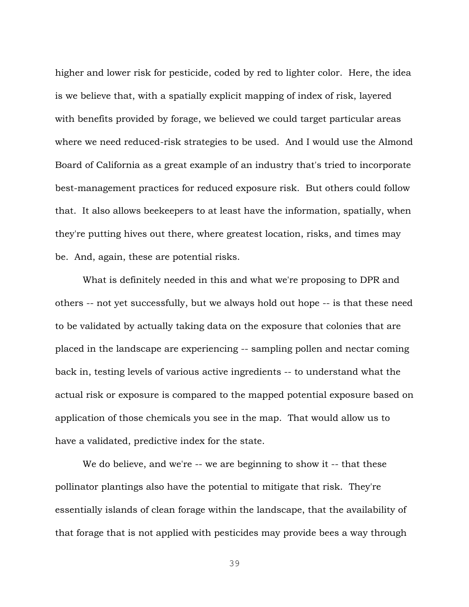higher and lower risk for pesticide, coded by red to lighter color. Here, the idea is we believe that, with a spatially explicit mapping of index of risk, layered with benefits provided by forage, we believed we could target particular areas where we need reduced-risk strategies to be used. And I would use the Almond Board of California as a great example of an industry that's tried to incorporate best-management practices for reduced exposure risk. But others could follow that. It also allows beekeepers to at least have the information, spatially, when they're putting hives out there, where greatest location, risks, and times may be. And, again, these are potential risks.

What is definitely needed in this and what we're proposing to DPR and others -- not yet successfully, but we always hold out hope -- is that these need to be validated by actually taking data on the exposure that colonies that are placed in the landscape are experiencing -- sampling pollen and nectar coming back in, testing levels of various active ingredients -- to understand what the actual risk or exposure is compared to the mapped potential exposure based on application of those chemicals you see in the map. That would allow us to have a validated, predictive index for the state.

We do believe, and we're -- we are beginning to show it -- that these pollinator plantings also have the potential to mitigate that risk. They're essentially islands of clean forage within the landscape, that the availability of that forage that is not applied with pesticides may provide bees a way through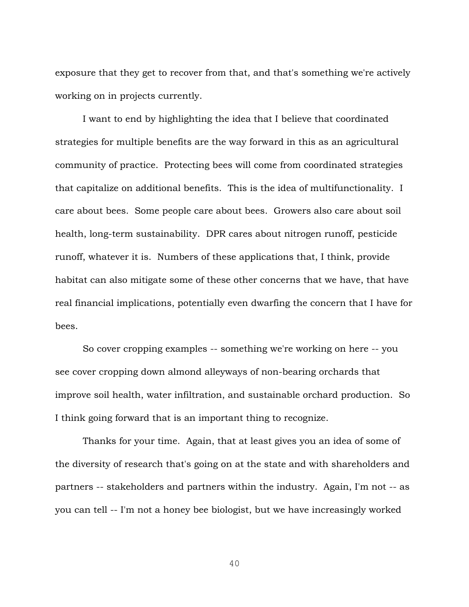exposure that they get to recover from that, and that's something we're actively working on in projects currently.

I want to end by highlighting the idea that I believe that coordinated strategies for multiple benefits are the way forward in this as an agricultural community of practice. Protecting bees will come from coordinated strategies that capitalize on additional benefits. This is the idea of multifunctionality. I care about bees. Some people care about bees. Growers also care about soil health, long-term sustainability. DPR cares about nitrogen runoff, pesticide runoff, whatever it is. Numbers of these applications that, I think, provide habitat can also mitigate some of these other concerns that we have, that have real financial implications, potentially even dwarfing the concern that I have for bees.

So cover cropping examples -- something we're working on here -- you see cover cropping down almond alleyways of non-bearing orchards that improve soil health, water infiltration, and sustainable orchard production. So I think going forward that is an important thing to recognize.

Thanks for your time. Again, that at least gives you an idea of some of the diversity of research that's going on at the state and with shareholders and partners -- stakeholders and partners within the industry. Again, I'm not -- as you can tell -- I'm not a honey bee biologist, but we have increasingly worked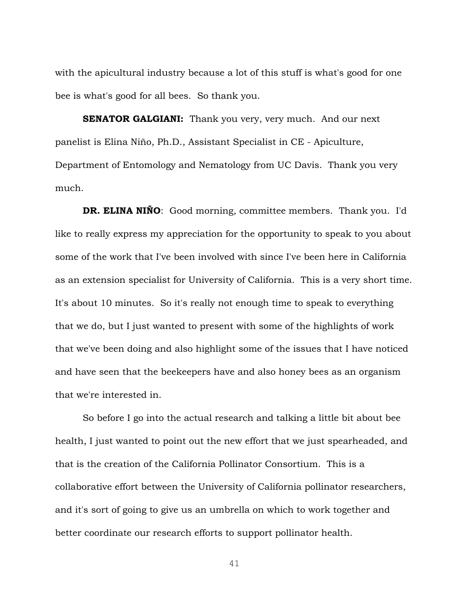with the apicultural industry because a lot of this stuff is what's good for one bee is what's good for all bees. So thank you.

**SENATOR GALGIANI:** Thank you very, very much. And our next panelist is Elina Niño, Ph.D., Assistant Specialist in CE - Apiculture, Department of Entomology and Nematology from UC Davis. Thank you very much.

**DR. ELINA NIÑO**: Good morning, committee members. Thank you. I'd like to really express my appreciation for the opportunity to speak to you about some of the work that I've been involved with since I've been here in California as an extension specialist for University of California. This is a very short time. It's about 10 minutes. So it's really not enough time to speak to everything that we do, but I just wanted to present with some of the highlights of work that we've been doing and also highlight some of the issues that I have noticed and have seen that the beekeepers have and also honey bees as an organism that we're interested in.

So before I go into the actual research and talking a little bit about bee health, I just wanted to point out the new effort that we just spearheaded, and that is the creation of the California Pollinator Consortium. This is a collaborative effort between the University of California pollinator researchers, and it's sort of going to give us an umbrella on which to work together and better coordinate our research efforts to support pollinator health.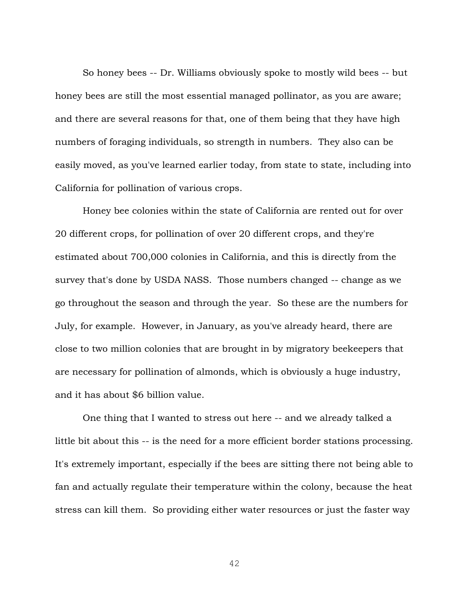So honey bees -- Dr. Williams obviously spoke to mostly wild bees -- but honey bees are still the most essential managed pollinator, as you are aware; and there are several reasons for that, one of them being that they have high numbers of foraging individuals, so strength in numbers. They also can be easily moved, as you've learned earlier today, from state to state, including into California for pollination of various crops.

Honey bee colonies within the state of California are rented out for over 20 different crops, for pollination of over 20 different crops, and they're estimated about 700,000 colonies in California, and this is directly from the survey that's done by USDA NASS. Those numbers changed -- change as we go throughout the season and through the year. So these are the numbers for July, for example. However, in January, as you've already heard, there are close to two million colonies that are brought in by migratory beekeepers that are necessary for pollination of almonds, which is obviously a huge industry, and it has about \$6 billion value.

One thing that I wanted to stress out here -- and we already talked a little bit about this -- is the need for a more efficient border stations processing. It's extremely important, especially if the bees are sitting there not being able to fan and actually regulate their temperature within the colony, because the heat stress can kill them. So providing either water resources or just the faster way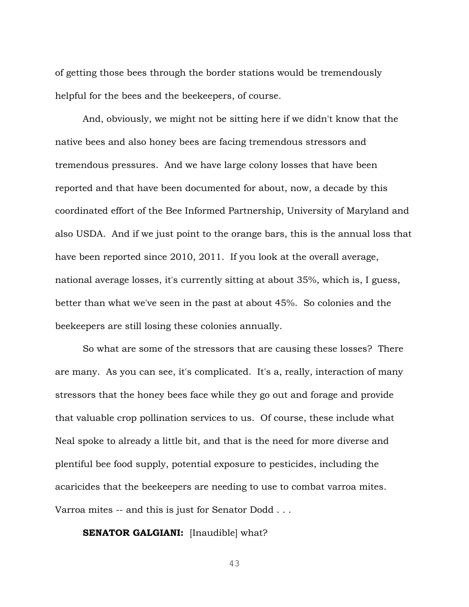of getting those bees through the border stations would be tremendously helpful for the bees and the beekeepers, of course.

And, obviously, we might not be sitting here if we didn't know that the native bees and also honey bees are facing tremendous stressors and tremendous pressures. And we have large colony losses that have been reported and that have been documented for about, now, a decade by this coordinated effort of the Bee Informed Partnership, University of Maryland and also USDA. And if we just point to the orange bars, this is the annual loss that have been reported since 2010, 2011. If you look at the overall average, national average losses, it's currently sitting at about 35%, which is, I guess, better than what we've seen in the past at about 45%. So colonies and the beekeepers are still losing these colonies annually.

So what are some of the stressors that are causing these losses? There are many. As you can see, it's complicated. It's a, really, interaction of many stressors that the honey bees face while they go out and forage and provide that valuable crop pollination services to us. Of course, these include what Neal spoke to already a little bit, and that is the need for more diverse and plentiful bee food supply, potential exposure to pesticides, including the acaricides that the beekeepers are needing to use to combat varroa mites. Varroa mites -- and this is just for Senator Dodd . . .

**SENATOR GALGIANI:** [Inaudible] what?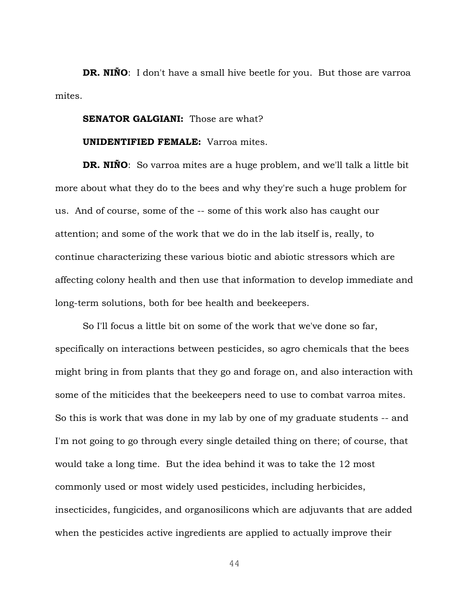**DR. NIÑO**: I don't have a small hive beetle for you. But those are varroa mites.

## **SENATOR GALGIANI:** Those are what?

## **UNIDENTIFIED FEMALE:** Varroa mites.

**DR. NIÑO:** So varroa mites are a huge problem, and we'll talk a little bit more about what they do to the bees and why they're such a huge problem for us. And of course, some of the -- some of this work also has caught our attention; and some of the work that we do in the lab itself is, really, to continue characterizing these various biotic and abiotic stressors which are affecting colony health and then use that information to develop immediate and long-term solutions, both for bee health and beekeepers.

So I'll focus a little bit on some of the work that we've done so far, specifically on interactions between pesticides, so agro chemicals that the bees might bring in from plants that they go and forage on, and also interaction with some of the miticides that the beekeepers need to use to combat varroa mites. So this is work that was done in my lab by one of my graduate students -- and I'm not going to go through every single detailed thing on there; of course, that would take a long time. But the idea behind it was to take the 12 most commonly used or most widely used pesticides, including herbicides, insecticides, fungicides, and organosilicons which are adjuvants that are added when the pesticides active ingredients are applied to actually improve their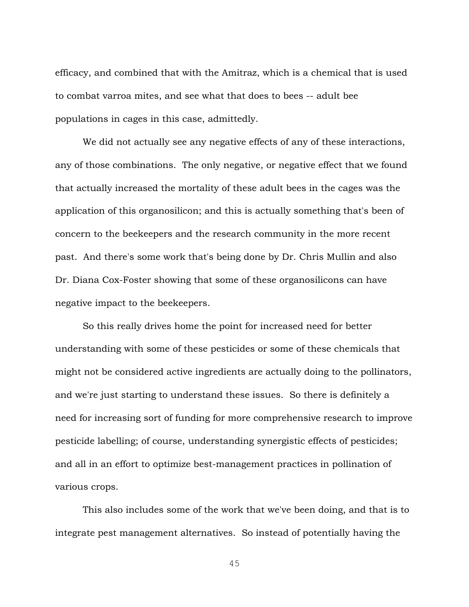efficacy, and combined that with the Amitraz, which is a chemical that is used to combat varroa mites, and see what that does to bees -- adult bee populations in cages in this case, admittedly.

We did not actually see any negative effects of any of these interactions, any of those combinations. The only negative, or negative effect that we found that actually increased the mortality of these adult bees in the cages was the application of this organosilicon; and this is actually something that's been of concern to the beekeepers and the research community in the more recent past. And there's some work that's being done by Dr. Chris Mullin and also Dr. Diana Cox-Foster showing that some of these organosilicons can have negative impact to the beekeepers.

So this really drives home the point for increased need for better understanding with some of these pesticides or some of these chemicals that might not be considered active ingredients are actually doing to the pollinators, and we're just starting to understand these issues. So there is definitely a need for increasing sort of funding for more comprehensive research to improve pesticide labelling; of course, understanding synergistic effects of pesticides; and all in an effort to optimize best-management practices in pollination of various crops.

This also includes some of the work that we've been doing, and that is to integrate pest management alternatives. So instead of potentially having the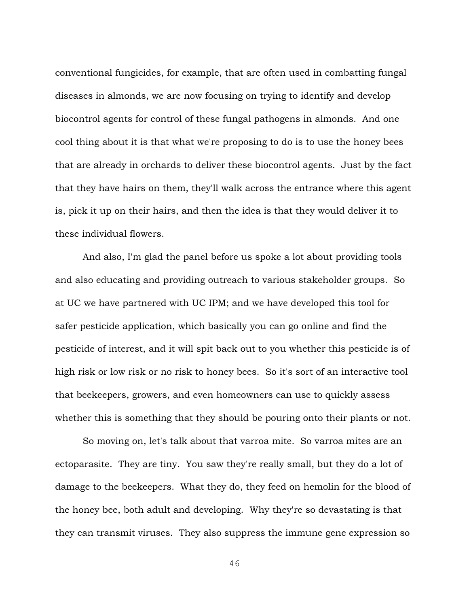conventional fungicides, for example, that are often used in combatting fungal diseases in almonds, we are now focusing on trying to identify and develop biocontrol agents for control of these fungal pathogens in almonds. And one cool thing about it is that what we're proposing to do is to use the honey bees that are already in orchards to deliver these biocontrol agents. Just by the fact that they have hairs on them, they'll walk across the entrance where this agent is, pick it up on their hairs, and then the idea is that they would deliver it to these individual flowers.

And also, I'm glad the panel before us spoke a lot about providing tools and also educating and providing outreach to various stakeholder groups. So at UC we have partnered with UC IPM; and we have developed this tool for safer pesticide application, which basically you can go online and find the pesticide of interest, and it will spit back out to you whether this pesticide is of high risk or low risk or no risk to honey bees. So it's sort of an interactive tool that beekeepers, growers, and even homeowners can use to quickly assess whether this is something that they should be pouring onto their plants or not.

So moving on, let's talk about that varroa mite. So varroa mites are an ectoparasite. They are tiny. You saw they're really small, but they do a lot of damage to the beekeepers. What they do, they feed on hemolin for the blood of the honey bee, both adult and developing. Why they're so devastating is that they can transmit viruses. They also suppress the immune gene expression so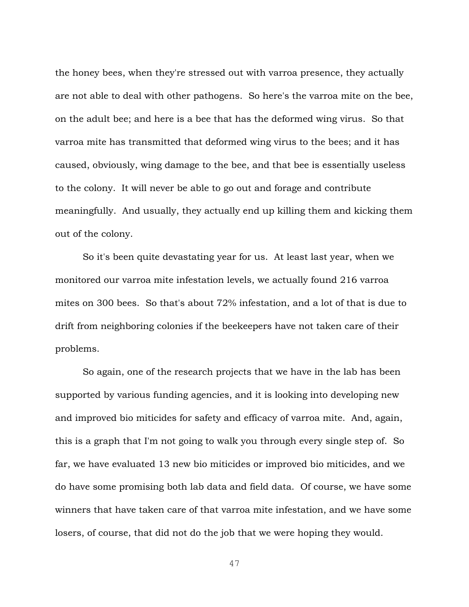the honey bees, when they're stressed out with varroa presence, they actually are not able to deal with other pathogens. So here's the varroa mite on the bee, on the adult bee; and here is a bee that has the deformed wing virus. So that varroa mite has transmitted that deformed wing virus to the bees; and it has caused, obviously, wing damage to the bee, and that bee is essentially useless to the colony. It will never be able to go out and forage and contribute meaningfully. And usually, they actually end up killing them and kicking them out of the colony.

So it's been quite devastating year for us. At least last year, when we monitored our varroa mite infestation levels, we actually found 216 varroa mites on 300 bees. So that's about 72% infestation, and a lot of that is due to drift from neighboring colonies if the beekeepers have not taken care of their problems.

So again, one of the research projects that we have in the lab has been supported by various funding agencies, and it is looking into developing new and improved bio miticides for safety and efficacy of varroa mite. And, again, this is a graph that I'm not going to walk you through every single step of. So far, we have evaluated 13 new bio miticides or improved bio miticides, and we do have some promising both lab data and field data. Of course, we have some winners that have taken care of that varroa mite infestation, and we have some losers, of course, that did not do the job that we were hoping they would.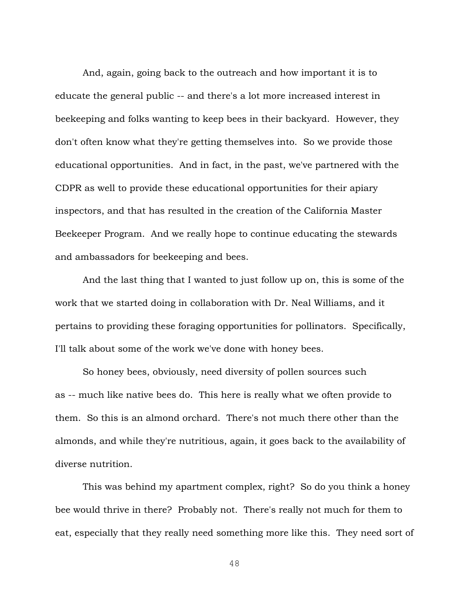And, again, going back to the outreach and how important it is to educate the general public -- and there's a lot more increased interest in beekeeping and folks wanting to keep bees in their backyard. However, they don't often know what they're getting themselves into. So we provide those educational opportunities. And in fact, in the past, we've partnered with the CDPR as well to provide these educational opportunities for their apiary inspectors, and that has resulted in the creation of the California Master Beekeeper Program. And we really hope to continue educating the stewards and ambassadors for beekeeping and bees.

And the last thing that I wanted to just follow up on, this is some of the work that we started doing in collaboration with Dr. Neal Williams, and it pertains to providing these foraging opportunities for pollinators. Specifically, I'll talk about some of the work we've done with honey bees.

So honey bees, obviously, need diversity of pollen sources such as -- much like native bees do. This here is really what we often provide to them. So this is an almond orchard. There's not much there other than the almonds, and while they're nutritious, again, it goes back to the availability of diverse nutrition.

This was behind my apartment complex, right? So do you think a honey bee would thrive in there? Probably not. There's really not much for them to eat, especially that they really need something more like this. They need sort of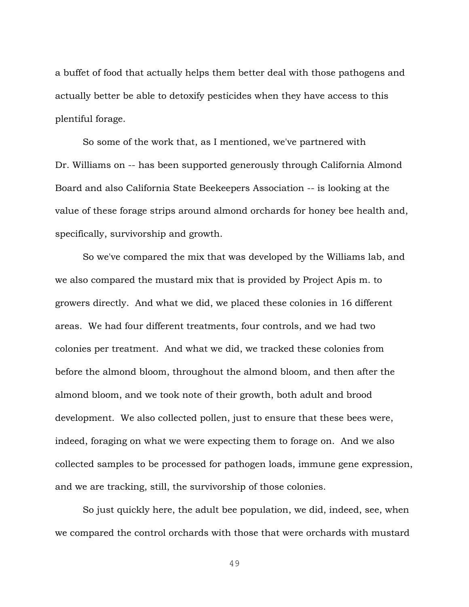a buffet of food that actually helps them better deal with those pathogens and actually better be able to detoxify pesticides when they have access to this plentiful forage.

So some of the work that, as I mentioned, we've partnered with Dr. Williams on -- has been supported generously through California Almond Board and also California State Beekeepers Association -- is looking at the value of these forage strips around almond orchards for honey bee health and, specifically, survivorship and growth.

So we've compared the mix that was developed by the Williams lab, and we also compared the mustard mix that is provided by Project Apis m. to growers directly. And what we did, we placed these colonies in 16 different areas. We had four different treatments, four controls, and we had two colonies per treatment. And what we did, we tracked these colonies from before the almond bloom, throughout the almond bloom, and then after the almond bloom, and we took note of their growth, both adult and brood development. We also collected pollen, just to ensure that these bees were, indeed, foraging on what we were expecting them to forage on. And we also collected samples to be processed for pathogen loads, immune gene expression, and we are tracking, still, the survivorship of those colonies.

So just quickly here, the adult bee population, we did, indeed, see, when we compared the control orchards with those that were orchards with mustard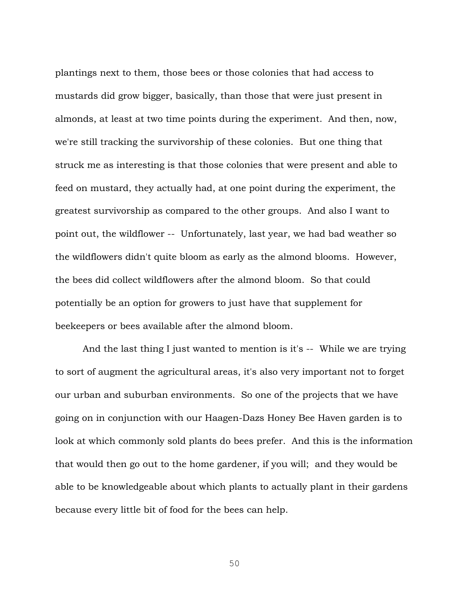plantings next to them, those bees or those colonies that had access to mustards did grow bigger, basically, than those that were just present in almonds, at least at two time points during the experiment. And then, now, we're still tracking the survivorship of these colonies. But one thing that struck me as interesting is that those colonies that were present and able to feed on mustard, they actually had, at one point during the experiment, the greatest survivorship as compared to the other groups. And also I want to point out, the wildflower -- Unfortunately, last year, we had bad weather so the wildflowers didn't quite bloom as early as the almond blooms. However, the bees did collect wildflowers after the almond bloom. So that could potentially be an option for growers to just have that supplement for beekeepers or bees available after the almond bloom.

And the last thing I just wanted to mention is it's -- While we are trying to sort of augment the agricultural areas, it's also very important not to forget our urban and suburban environments. So one of the projects that we have going on in conjunction with our Haagen-Dazs Honey Bee Haven garden is to look at which commonly sold plants do bees prefer. And this is the information that would then go out to the home gardener, if you will; and they would be able to be knowledgeable about which plants to actually plant in their gardens because every little bit of food for the bees can help.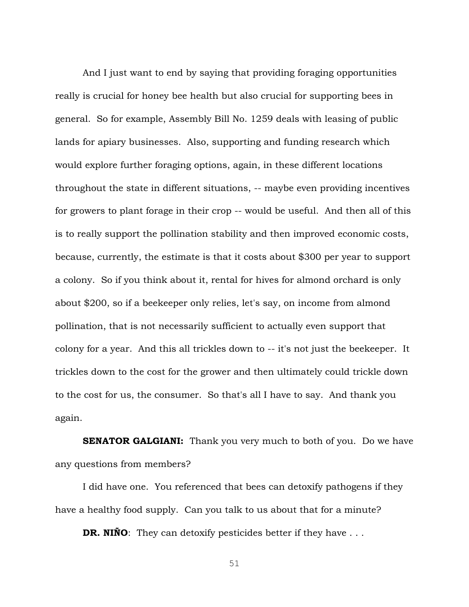And I just want to end by saying that providing foraging opportunities really is crucial for honey bee health but also crucial for supporting bees in general. So for example, Assembly Bill No. 1259 deals with leasing of public lands for apiary businesses. Also, supporting and funding research which would explore further foraging options, again, in these different locations throughout the state in different situations, -- maybe even providing incentives for growers to plant forage in their crop -- would be useful. And then all of this is to really support the pollination stability and then improved economic costs, because, currently, the estimate is that it costs about \$300 per year to support a colony. So if you think about it, rental for hives for almond orchard is only about \$200, so if a beekeeper only relies, let's say, on income from almond pollination, that is not necessarily sufficient to actually even support that colony for a year. And this all trickles down to -- it's not just the beekeeper. It trickles down to the cost for the grower and then ultimately could trickle down to the cost for us, the consumer. So that's all I have to say. And thank you again.

**SENATOR GALGIANI:** Thank you very much to both of you. Do we have any questions from members?

I did have one. You referenced that bees can detoxify pathogens if they have a healthy food supply. Can you talk to us about that for a minute?

**DR. NIÑO**: They can detoxify pesticides better if they have ...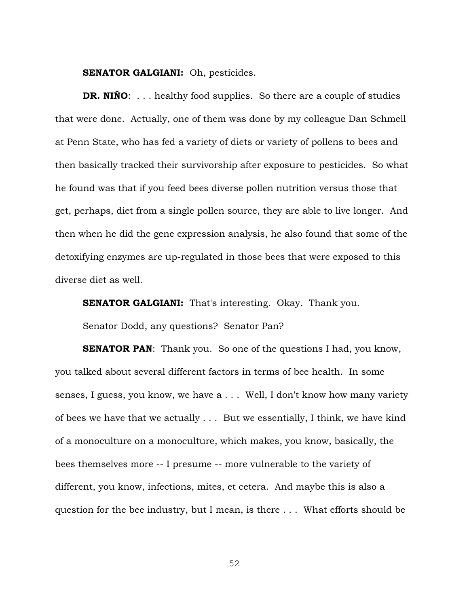**SENATOR GALGIANI:** Oh, pesticides.

**DR. NIÑO**: . . . healthy food supplies. So there are a couple of studies that were done. Actually, one of them was done by my colleague Dan Schmell at Penn State, who has fed a variety of diets or variety of pollens to bees and then basically tracked their survivorship after exposure to pesticides. So what he found was that if you feed bees diverse pollen nutrition versus those that get, perhaps, diet from a single pollen source, they are able to live longer. And then when he did the gene expression analysis, he also found that some of the detoxifying enzymes are up-regulated in those bees that were exposed to this diverse diet as well.

**SENATOR GALGIANI:** That's interesting. Okay. Thank you.

Senator Dodd, any questions? Senator Pan?

**SENATOR PAN:** Thank you. So one of the questions I had, you know, you talked about several different factors in terms of bee health. In some senses, I guess, you know, we have a . . . Well, I don't know how many variety of bees we have that we actually . . . But we essentially, I think, we have kind of a monoculture on a monoculture, which makes, you know, basically, the bees themselves more -- I presume -- more vulnerable to the variety of different, you know, infections, mites, et cetera. And maybe this is also a question for the bee industry, but I mean, is there . . . What efforts should be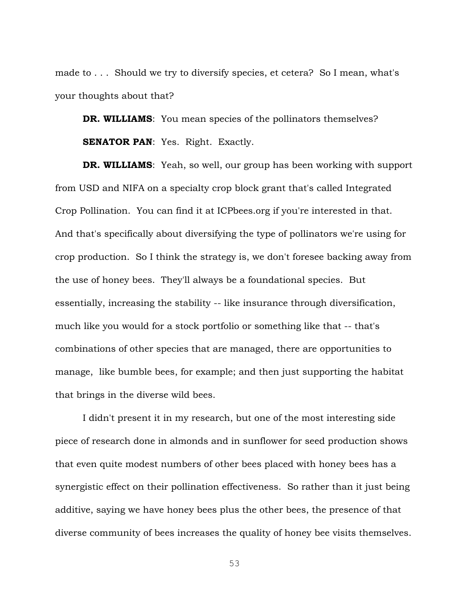made to . . . Should we try to diversify species, et cetera? So I mean, what's your thoughts about that?

**DR. WILLIAMS**: You mean species of the pollinators themselves? **SENATOR PAN:** Yes. Right. Exactly.

**DR. WILLIAMS**: Yeah, so well, our group has been working with support from USD and NIFA on a specialty crop block grant that's called Integrated Crop Pollination. You can find it at ICPbees.org if you're interested in that. And that's specifically about diversifying the type of pollinators we're using for crop production. So I think the strategy is, we don't foresee backing away from the use of honey bees. They'll always be a foundational species. But essentially, increasing the stability -- like insurance through diversification, much like you would for a stock portfolio or something like that -- that's combinations of other species that are managed, there are opportunities to manage, like bumble bees, for example; and then just supporting the habitat that brings in the diverse wild bees.

I didn't present it in my research, but one of the most interesting side piece of research done in almonds and in sunflower for seed production shows that even quite modest numbers of other bees placed with honey bees has a synergistic effect on their pollination effectiveness. So rather than it just being additive, saying we have honey bees plus the other bees, the presence of that diverse community of bees increases the quality of honey bee visits themselves.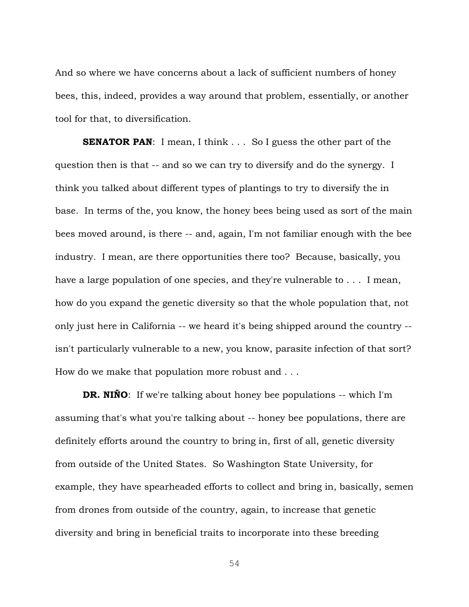And so where we have concerns about a lack of sufficient numbers of honey bees, this, indeed, provides a way around that problem, essentially, or another tool for that, to diversification.

**SENATOR PAN:** I mean, I think . . . So I guess the other part of the question then is that -- and so we can try to diversify and do the synergy. I think you talked about different types of plantings to try to diversify the in base. In terms of the, you know, the honey bees being used as sort of the main bees moved around, is there -- and, again, I'm not familiar enough with the bee industry. I mean, are there opportunities there too? Because, basically, you have a large population of one species, and they're vulnerable to . . . I mean, how do you expand the genetic diversity so that the whole population that, not only just here in California -- we heard it's being shipped around the country - isn't particularly vulnerable to a new, you know, parasite infection of that sort? How do we make that population more robust and . . .

**DR. NIÑO**: If we're talking about honey bee populations -- which I'm assuming that's what you're talking about -- honey bee populations, there are definitely efforts around the country to bring in, first of all, genetic diversity from outside of the United States. So Washington State University, for example, they have spearheaded efforts to collect and bring in, basically, semen from drones from outside of the country, again, to increase that genetic diversity and bring in beneficial traits to incorporate into these breeding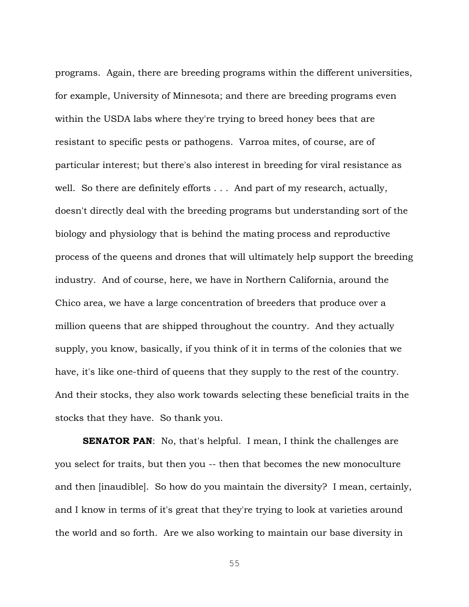programs. Again, there are breeding programs within the different universities, for example, University of Minnesota; and there are breeding programs even within the USDA labs where they're trying to breed honey bees that are resistant to specific pests or pathogens. Varroa mites, of course, are of particular interest; but there's also interest in breeding for viral resistance as well. So there are definitely efforts . . . And part of my research, actually, doesn't directly deal with the breeding programs but understanding sort of the biology and physiology that is behind the mating process and reproductive process of the queens and drones that will ultimately help support the breeding industry. And of course, here, we have in Northern California, around the Chico area, we have a large concentration of breeders that produce over a million queens that are shipped throughout the country. And they actually supply, you know, basically, if you think of it in terms of the colonies that we have, it's like one-third of queens that they supply to the rest of the country. And their stocks, they also work towards selecting these beneficial traits in the stocks that they have. So thank you.

**SENATOR PAN:** No, that's helpful. I mean, I think the challenges are you select for traits, but then you -- then that becomes the new monoculture and then [inaudible]. So how do you maintain the diversity? I mean, certainly, and I know in terms of it's great that they're trying to look at varieties around the world and so forth. Are we also working to maintain our base diversity in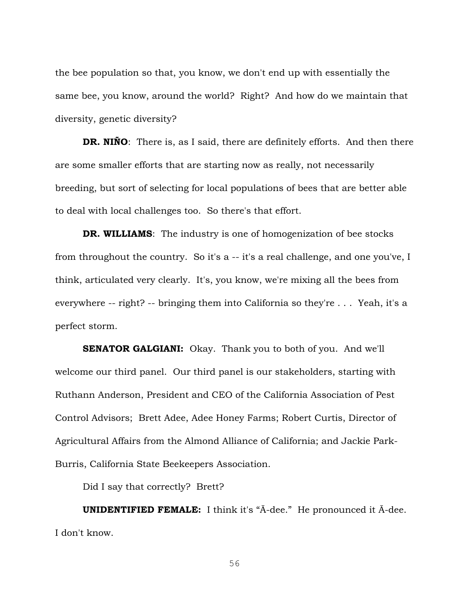the bee population so that, you know, we don't end up with essentially the same bee, you know, around the world? Right? And how do we maintain that diversity, genetic diversity?

**DR. NIÑO**: There is, as I said, there are definitely efforts. And then there are some smaller efforts that are starting now as really, not necessarily breeding, but sort of selecting for local populations of bees that are better able to deal with local challenges too. So there's that effort.

**DR. WILLIAMS**: The industry is one of homogenization of bee stocks from throughout the country. So it's a -- it's a real challenge, and one you've, I think, articulated very clearly. It's, you know, we're mixing all the bees from everywhere -- right? -- bringing them into California so they're . . . Yeah, it's a perfect storm.

**SENATOR GALGIANI:** Okay. Thank you to both of you. And we'll welcome our third panel. Our third panel is our stakeholders, starting with Ruthann Anderson, President and CEO of the California Association of Pest Control Advisors; Brett Adee, Adee Honey Farms; Robert Curtis, Director of Agricultural Affairs from the Almond Alliance of California; and Jackie Park-Burris, California State Beekeepers Association.

Did I say that correctly? Brett?

**UNIDENTIFIED FEMALE:** I think it's "Ā-dee." He pronounced it Ā-dee. I don't know.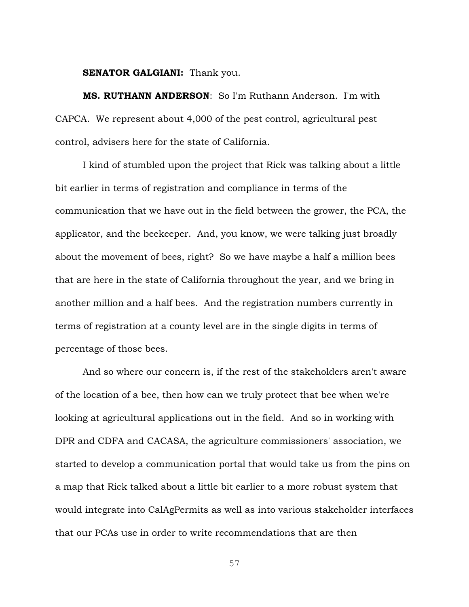## **SENATOR GALGIANI:** Thank you.

**MS. RUTHANN ANDERSON**: So I'm Ruthann Anderson. I'm with CAPCA. We represent about 4,000 of the pest control, agricultural pest control, advisers here for the state of California.

I kind of stumbled upon the project that Rick was talking about a little bit earlier in terms of registration and compliance in terms of the communication that we have out in the field between the grower, the PCA, the applicator, and the beekeeper. And, you know, we were talking just broadly about the movement of bees, right? So we have maybe a half a million bees that are here in the state of California throughout the year, and we bring in another million and a half bees. And the registration numbers currently in terms of registration at a county level are in the single digits in terms of percentage of those bees.

And so where our concern is, if the rest of the stakeholders aren't aware of the location of a bee, then how can we truly protect that bee when we're looking at agricultural applications out in the field. And so in working with DPR and CDFA and CACASA, the agriculture commissioners' association, we started to develop a communication portal that would take us from the pins on a map that Rick talked about a little bit earlier to a more robust system that would integrate into CalAgPermits as well as into various stakeholder interfaces that our PCAs use in order to write recommendations that are then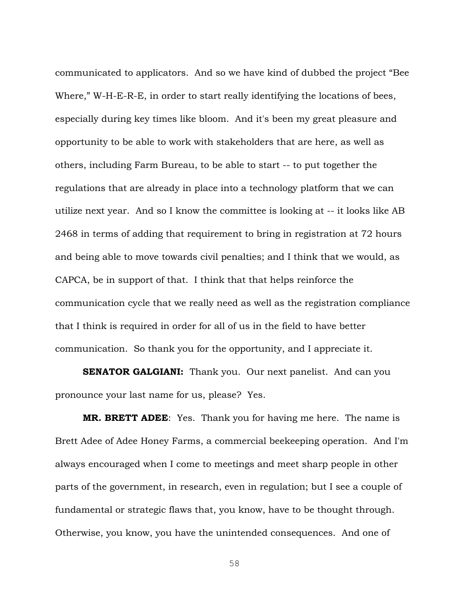communicated to applicators. And so we have kind of dubbed the project "Bee Where," W-H-E-R-E, in order to start really identifying the locations of bees, especially during key times like bloom. And it's been my great pleasure and opportunity to be able to work with stakeholders that are here, as well as others, including Farm Bureau, to be able to start -- to put together the regulations that are already in place into a technology platform that we can utilize next year. And so I know the committee is looking at -- it looks like AB 2468 in terms of adding that requirement to bring in registration at 72 hours and being able to move towards civil penalties; and I think that we would, as CAPCA, be in support of that. I think that that helps reinforce the communication cycle that we really need as well as the registration compliance that I think is required in order for all of us in the field to have better communication. So thank you for the opportunity, and I appreciate it.

**SENATOR GALGIANI:** Thank you. Our next panelist. And can you pronounce your last name for us, please? Yes.

**MR. BRETT ADEE**: Yes. Thank you for having me here. The name is Brett Adee of Adee Honey Farms, a commercial beekeeping operation. And I'm always encouraged when I come to meetings and meet sharp people in other parts of the government, in research, even in regulation; but I see a couple of fundamental or strategic flaws that, you know, have to be thought through. Otherwise, you know, you have the unintended consequences. And one of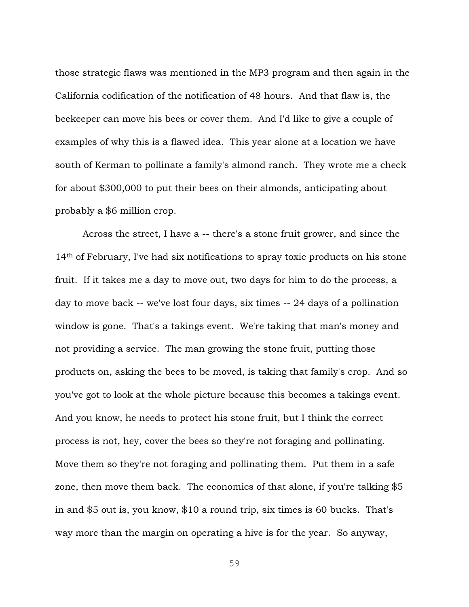those strategic flaws was mentioned in the MP3 program and then again in the California codification of the notification of 48 hours. And that flaw is, the beekeeper can move his bees or cover them. And I'd like to give a couple of examples of why this is a flawed idea. This year alone at a location we have south of Kerman to pollinate a family's almond ranch. They wrote me a check for about \$300,000 to put their bees on their almonds, anticipating about probably a \$6 million crop.

Across the street, I have a -- there's a stone fruit grower, and since the 14th of February, I've had six notifications to spray toxic products on his stone fruit. If it takes me a day to move out, two days for him to do the process, a day to move back -- we've lost four days, six times -- 24 days of a pollination window is gone. That's a takings event. We're taking that man's money and not providing a service. The man growing the stone fruit, putting those products on, asking the bees to be moved, is taking that family's crop. And so you've got to look at the whole picture because this becomes a takings event. And you know, he needs to protect his stone fruit, but I think the correct process is not, hey, cover the bees so they're not foraging and pollinating. Move them so they're not foraging and pollinating them. Put them in a safe zone, then move them back. The economics of that alone, if you're talking \$5 in and \$5 out is, you know, \$10 a round trip, six times is 60 bucks. That's way more than the margin on operating a hive is for the year. So anyway,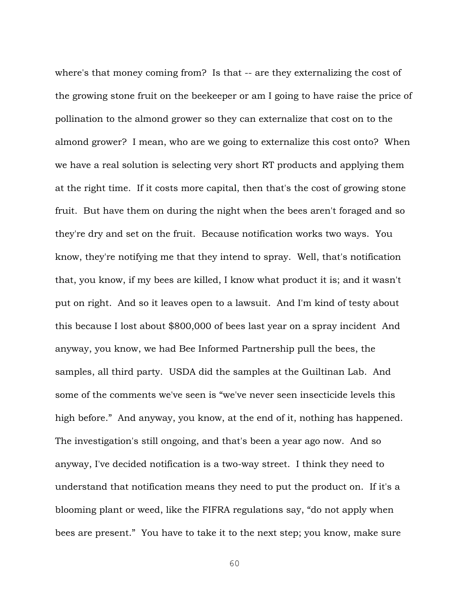where's that money coming from? Is that -- are they externalizing the cost of the growing stone fruit on the beekeeper or am I going to have raise the price of pollination to the almond grower so they can externalize that cost on to the almond grower? I mean, who are we going to externalize this cost onto? When we have a real solution is selecting very short RT products and applying them at the right time. If it costs more capital, then that's the cost of growing stone fruit. But have them on during the night when the bees aren't foraged and so they're dry and set on the fruit. Because notification works two ways. You know, they're notifying me that they intend to spray. Well, that's notification that, you know, if my bees are killed, I know what product it is; and it wasn't put on right. And so it leaves open to a lawsuit. And I'm kind of testy about this because I lost about \$800,000 of bees last year on a spray incident And anyway, you know, we had Bee Informed Partnership pull the bees, the samples, all third party. USDA did the samples at the Guiltinan Lab. And some of the comments we've seen is "we've never seen insecticide levels this high before." And anyway, you know, at the end of it, nothing has happened. The investigation's still ongoing, and that's been a year ago now. And so anyway, I've decided notification is a two-way street. I think they need to understand that notification means they need to put the product on. If it's a blooming plant or weed, like the FIFRA regulations say, "do not apply when bees are present." You have to take it to the next step; you know, make sure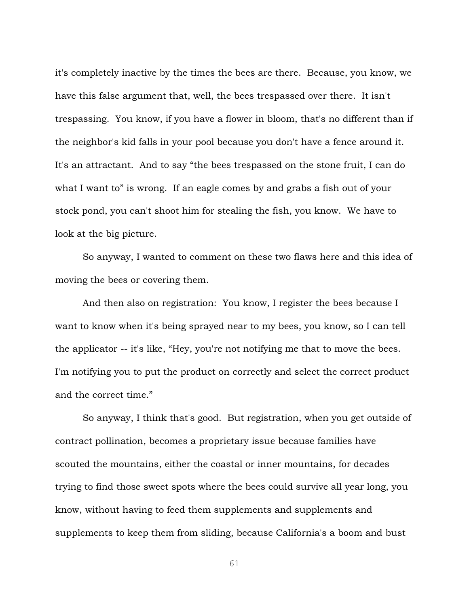it's completely inactive by the times the bees are there. Because, you know, we have this false argument that, well, the bees trespassed over there. It isn't trespassing. You know, if you have a flower in bloom, that's no different than if the neighbor's kid falls in your pool because you don't have a fence around it. It's an attractant. And to say "the bees trespassed on the stone fruit, I can do what I want to" is wrong. If an eagle comes by and grabs a fish out of your stock pond, you can't shoot him for stealing the fish, you know. We have to look at the big picture.

So anyway, I wanted to comment on these two flaws here and this idea of moving the bees or covering them.

And then also on registration: You know, I register the bees because I want to know when it's being sprayed near to my bees, you know, so I can tell the applicator -- it's like, "Hey, you're not notifying me that to move the bees. I'm notifying you to put the product on correctly and select the correct product and the correct time."

So anyway, I think that's good. But registration, when you get outside of contract pollination, becomes a proprietary issue because families have scouted the mountains, either the coastal or inner mountains, for decades trying to find those sweet spots where the bees could survive all year long, you know, without having to feed them supplements and supplements and supplements to keep them from sliding, because California's a boom and bust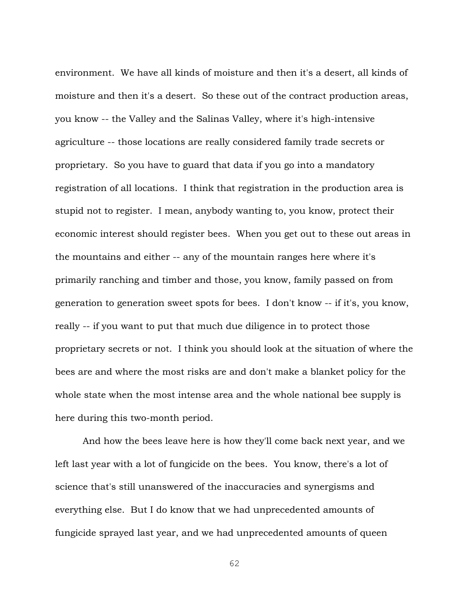environment. We have all kinds of moisture and then it's a desert, all kinds of moisture and then it's a desert. So these out of the contract production areas, you know -- the Valley and the Salinas Valley, where it's high-intensive agriculture -- those locations are really considered family trade secrets or proprietary. So you have to guard that data if you go into a mandatory registration of all locations. I think that registration in the production area is stupid not to register. I mean, anybody wanting to, you know, protect their economic interest should register bees. When you get out to these out areas in the mountains and either -- any of the mountain ranges here where it's primarily ranching and timber and those, you know, family passed on from generation to generation sweet spots for bees. I don't know -- if it's, you know, really -- if you want to put that much due diligence in to protect those proprietary secrets or not. I think you should look at the situation of where the bees are and where the most risks are and don't make a blanket policy for the whole state when the most intense area and the whole national bee supply is here during this two-month period.

And how the bees leave here is how they'll come back next year, and we left last year with a lot of fungicide on the bees. You know, there's a lot of science that's still unanswered of the inaccuracies and synergisms and everything else. But I do know that we had unprecedented amounts of fungicide sprayed last year, and we had unprecedented amounts of queen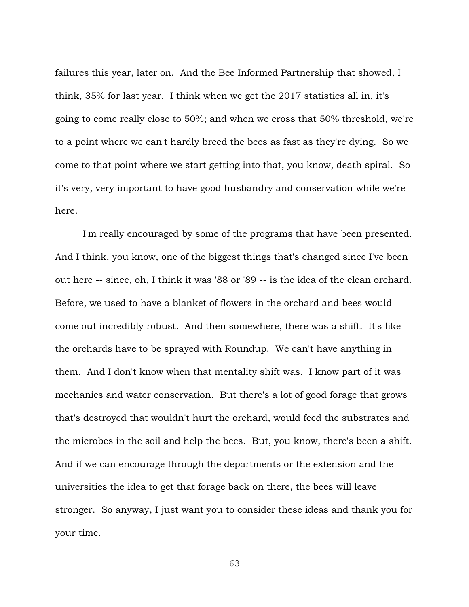failures this year, later on. And the Bee Informed Partnership that showed, I think, 35% for last year. I think when we get the 2017 statistics all in, it's going to come really close to 50%; and when we cross that 50% threshold, we're to a point where we can't hardly breed the bees as fast as they're dying. So we come to that point where we start getting into that, you know, death spiral. So it's very, very important to have good husbandry and conservation while we're here.

I'm really encouraged by some of the programs that have been presented. And I think, you know, one of the biggest things that's changed since I've been out here -- since, oh, I think it was '88 or '89 -- is the idea of the clean orchard. Before, we used to have a blanket of flowers in the orchard and bees would come out incredibly robust. And then somewhere, there was a shift. It's like the orchards have to be sprayed with Roundup. We can't have anything in them. And I don't know when that mentality shift was. I know part of it was mechanics and water conservation. But there's a lot of good forage that grows that's destroyed that wouldn't hurt the orchard, would feed the substrates and the microbes in the soil and help the bees. But, you know, there's been a shift. And if we can encourage through the departments or the extension and the universities the idea to get that forage back on there, the bees will leave stronger. So anyway, I just want you to consider these ideas and thank you for your time.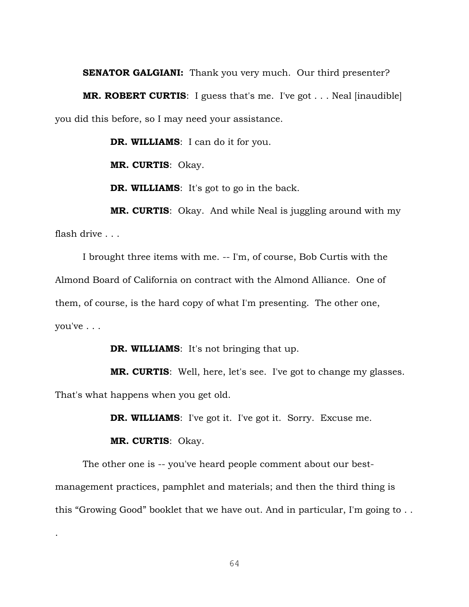## **SENATOR GALGIANI:** Thank you very much. Our third presenter?

**MR. ROBERT CURTIS**: I guess that's me. I've got . . . Neal [inaudible] you did this before, so I may need your assistance.

**DR. WILLIAMS**: I can do it for you.

**MR. CURTIS**: Okay.

**DR. WILLIAMS**: It's got to go in the back.

**MR. CURTIS**: Okay. And while Neal is juggling around with my flash drive . . .

I brought three items with me. -- I'm, of course, Bob Curtis with the Almond Board of California on contract with the Almond Alliance. One of them, of course, is the hard copy of what I'm presenting. The other one, you've . . .

**DR. WILLIAMS**: It's not bringing that up.

**MR. CURTIS**: Well, here, let's see. I've got to change my glasses. That's what happens when you get old.

**DR. WILLIAMS**: I've got it. I've got it. Sorry. Excuse me.

**MR. CURTIS**: Okay.

.

The other one is -- you've heard people comment about our bestmanagement practices, pamphlet and materials; and then the third thing is this "Growing Good" booklet that we have out. And in particular, I'm going to . .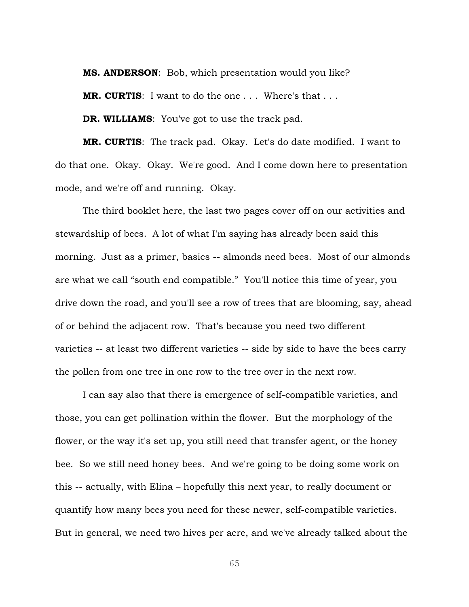**MS. ANDERSON**: Bob, which presentation would you like?

**MR. CURTIS**: I want to do the one . . . Where's that . . .

**DR. WILLIAMS**: You've got to use the track pad.

**MR. CURTIS**: The track pad. Okay. Let's do date modified. I want to do that one. Okay. Okay. We're good. And I come down here to presentation mode, and we're off and running. Okay.

The third booklet here, the last two pages cover off on our activities and stewardship of bees. A lot of what I'm saying has already been said this morning. Just as a primer, basics -- almonds need bees. Most of our almonds are what we call "south end compatible." You'll notice this time of year, you drive down the road, and you'll see a row of trees that are blooming, say, ahead of or behind the adjacent row. That's because you need two different varieties -- at least two different varieties -- side by side to have the bees carry the pollen from one tree in one row to the tree over in the next row.

I can say also that there is emergence of self-compatible varieties, and those, you can get pollination within the flower. But the morphology of the flower, or the way it's set up, you still need that transfer agent, or the honey bee. So we still need honey bees. And we're going to be doing some work on this -- actually, with Elina – hopefully this next year, to really document or quantify how many bees you need for these newer, self-compatible varieties. But in general, we need two hives per acre, and we've already talked about the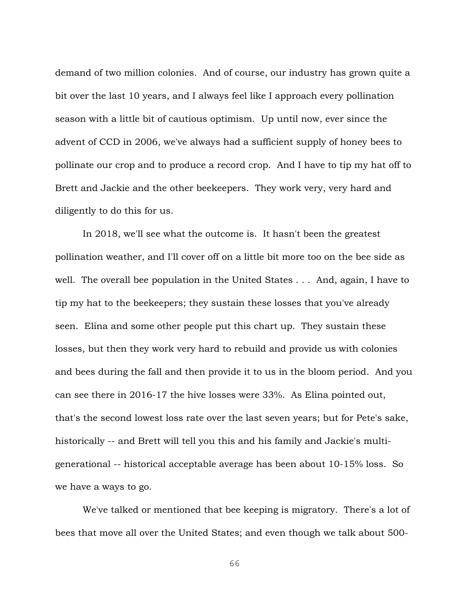demand of two million colonies. And of course, our industry has grown quite a bit over the last 10 years, and I always feel like I approach every pollination season with a little bit of cautious optimism. Up until now, ever since the advent of CCD in 2006, we've always had a sufficient supply of honey bees to pollinate our crop and to produce a record crop. And I have to tip my hat off to Brett and Jackie and the other beekeepers. They work very, very hard and diligently to do this for us.

In 2018, we'll see what the outcome is. It hasn't been the greatest pollination weather, and I'll cover off on a little bit more too on the bee side as well. The overall bee population in the United States . . . And, again, I have to tip my hat to the beekeepers; they sustain these losses that you've already seen. Elina and some other people put this chart up. They sustain these losses, but then they work very hard to rebuild and provide us with colonies and bees during the fall and then provide it to us in the bloom period. And you can see there in 2016-17 the hive losses were 33%. As Elina pointed out, that's the second lowest loss rate over the last seven years; but for Pete's sake, historically -- and Brett will tell you this and his family and Jackie's multigenerational -- historical acceptable average has been about 10-15% loss. So we have a ways to go.

We've talked or mentioned that bee keeping is migratory. There's a lot of bees that move all over the United States; and even though we talk about 500-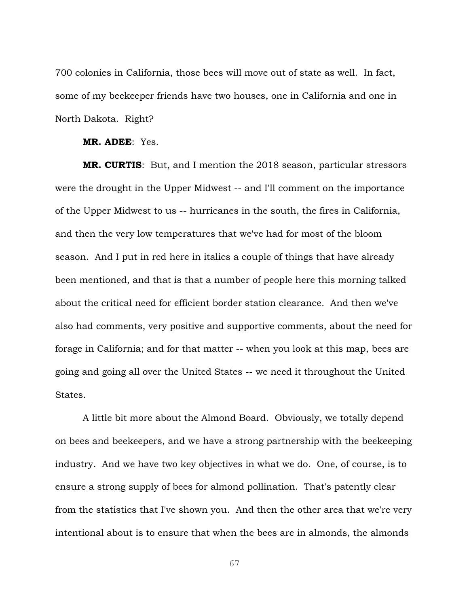700 colonies in California, those bees will move out of state as well. In fact, some of my beekeeper friends have two houses, one in California and one in North Dakota. Right?

**MR. ADEE**: Yes.

**MR. CURTIS**: But, and I mention the 2018 season, particular stressors were the drought in the Upper Midwest -- and I'll comment on the importance of the Upper Midwest to us -- hurricanes in the south, the fires in California, and then the very low temperatures that we've had for most of the bloom season. And I put in red here in italics a couple of things that have already been mentioned, and that is that a number of people here this morning talked about the critical need for efficient border station clearance. And then we've also had comments, very positive and supportive comments, about the need for forage in California; and for that matter -- when you look at this map, bees are going and going all over the United States -- we need it throughout the United States.

A little bit more about the Almond Board. Obviously, we totally depend on bees and beekeepers, and we have a strong partnership with the beekeeping industry. And we have two key objectives in what we do. One, of course, is to ensure a strong supply of bees for almond pollination. That's patently clear from the statistics that I've shown you. And then the other area that we're very intentional about is to ensure that when the bees are in almonds, the almonds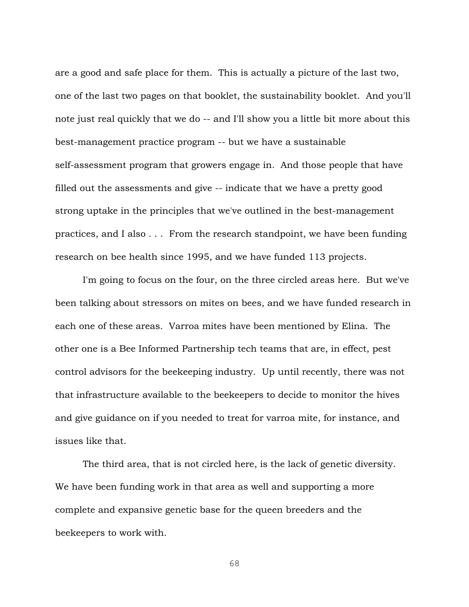are a good and safe place for them. This is actually a picture of the last two, one of the last two pages on that booklet, the sustainability booklet. And you'll note just real quickly that we do -- and I'll show you a little bit more about this best-management practice program -- but we have a sustainable self-assessment program that growers engage in. And those people that have filled out the assessments and give -- indicate that we have a pretty good strong uptake in the principles that we've outlined in the best-management practices, and I also . . . From the research standpoint, we have been funding research on bee health since 1995, and we have funded 113 projects.

I'm going to focus on the four, on the three circled areas here. But we've been talking about stressors on mites on bees, and we have funded research in each one of these areas. Varroa mites have been mentioned by Elina. The other one is a Bee Informed Partnership tech teams that are, in effect, pest control advisors for the beekeeping industry. Up until recently, there was not that infrastructure available to the beekeepers to decide to monitor the hives and give guidance on if you needed to treat for varroa mite, for instance, and issues like that.

The third area, that is not circled here, is the lack of genetic diversity. We have been funding work in that area as well and supporting a more complete and expansive genetic base for the queen breeders and the beekeepers to work with.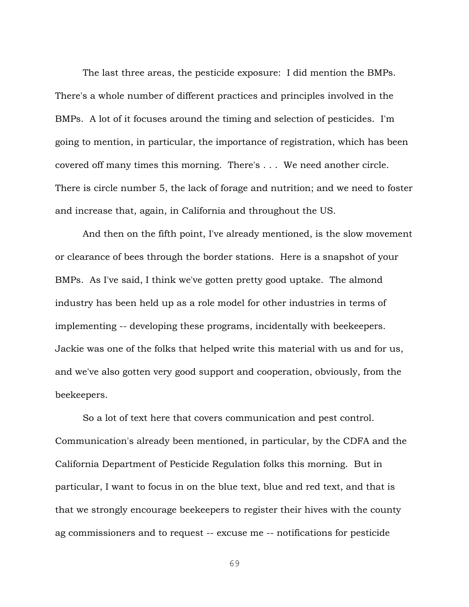The last three areas, the pesticide exposure: I did mention the BMPs. There's a whole number of different practices and principles involved in the BMPs. A lot of it focuses around the timing and selection of pesticides. I'm going to mention, in particular, the importance of registration, which has been covered off many times this morning. There's . . . We need another circle. There is circle number 5, the lack of forage and nutrition; and we need to foster and increase that, again, in California and throughout the US.

And then on the fifth point, I've already mentioned, is the slow movement or clearance of bees through the border stations. Here is a snapshot of your BMPs. As I've said, I think we've gotten pretty good uptake. The almond industry has been held up as a role model for other industries in terms of implementing -- developing these programs, incidentally with beekeepers. Jackie was one of the folks that helped write this material with us and for us, and we've also gotten very good support and cooperation, obviously, from the beekeepers.

So a lot of text here that covers communication and pest control. Communication's already been mentioned, in particular, by the CDFA and the California Department of Pesticide Regulation folks this morning. But in particular, I want to focus in on the blue text, blue and red text, and that is that we strongly encourage beekeepers to register their hives with the county ag commissioners and to request -- excuse me -- notifications for pesticide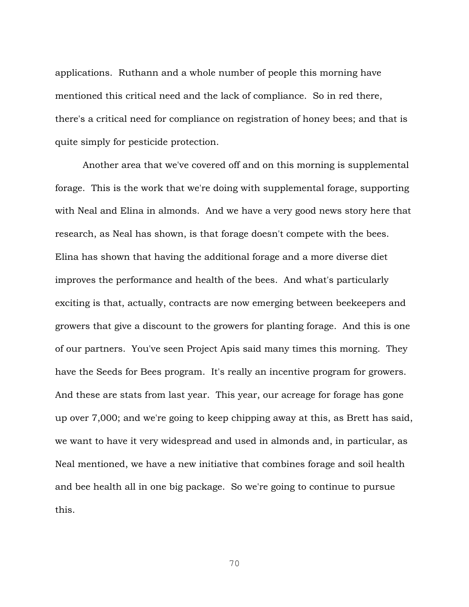applications. Ruthann and a whole number of people this morning have mentioned this critical need and the lack of compliance. So in red there, there's a critical need for compliance on registration of honey bees; and that is quite simply for pesticide protection.

Another area that we've covered off and on this morning is supplemental forage. This is the work that we're doing with supplemental forage, supporting with Neal and Elina in almonds. And we have a very good news story here that research, as Neal has shown, is that forage doesn't compete with the bees. Elina has shown that having the additional forage and a more diverse diet improves the performance and health of the bees. And what's particularly exciting is that, actually, contracts are now emerging between beekeepers and growers that give a discount to the growers for planting forage. And this is one of our partners. You've seen Project Apis said many times this morning. They have the Seeds for Bees program. It's really an incentive program for growers. And these are stats from last year. This year, our acreage for forage has gone up over 7,000; and we're going to keep chipping away at this, as Brett has said, we want to have it very widespread and used in almonds and, in particular, as Neal mentioned, we have a new initiative that combines forage and soil health and bee health all in one big package. So we're going to continue to pursue this.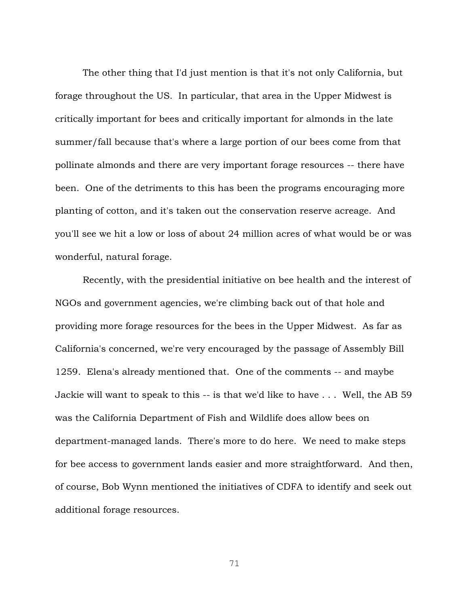The other thing that I'd just mention is that it's not only California, but forage throughout the US. In particular, that area in the Upper Midwest is critically important for bees and critically important for almonds in the late summer/fall because that's where a large portion of our bees come from that pollinate almonds and there are very important forage resources -- there have been. One of the detriments to this has been the programs encouraging more planting of cotton, and it's taken out the conservation reserve acreage. And you'll see we hit a low or loss of about 24 million acres of what would be or was wonderful, natural forage.

Recently, with the presidential initiative on bee health and the interest of NGOs and government agencies, we're climbing back out of that hole and providing more forage resources for the bees in the Upper Midwest. As far as California's concerned, we're very encouraged by the passage of Assembly Bill 1259. Elena's already mentioned that. One of the comments -- and maybe Jackie will want to speak to this -- is that we'd like to have . . . Well, the AB 59 was the California Department of Fish and Wildlife does allow bees on department-managed lands. There's more to do here. We need to make steps for bee access to government lands easier and more straightforward. And then, of course, Bob Wynn mentioned the initiatives of CDFA to identify and seek out additional forage resources.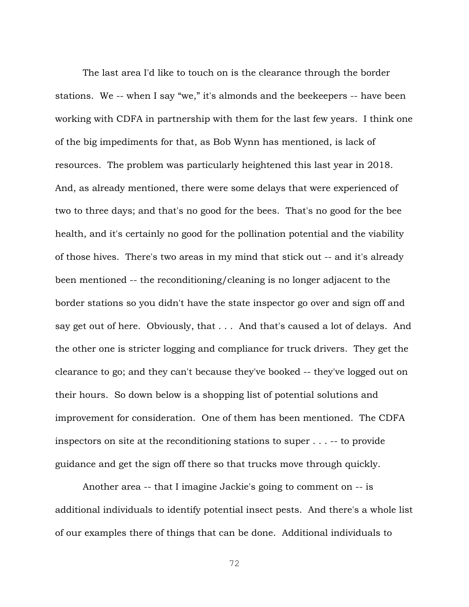The last area I'd like to touch on is the clearance through the border stations. We -- when I say "we," it's almonds and the beekeepers -- have been working with CDFA in partnership with them for the last few years. I think one of the big impediments for that, as Bob Wynn has mentioned, is lack of resources. The problem was particularly heightened this last year in 2018. And, as already mentioned, there were some delays that were experienced of two to three days; and that's no good for the bees. That's no good for the bee health, and it's certainly no good for the pollination potential and the viability of those hives. There's two areas in my mind that stick out -- and it's already been mentioned -- the reconditioning/cleaning is no longer adjacent to the border stations so you didn't have the state inspector go over and sign off and say get out of here. Obviously, that . . . And that's caused a lot of delays. And the other one is stricter logging and compliance for truck drivers. They get the clearance to go; and they can't because they've booked -- they've logged out on their hours. So down below is a shopping list of potential solutions and improvement for consideration. One of them has been mentioned. The CDFA inspectors on site at the reconditioning stations to super . . . -- to provide guidance and get the sign off there so that trucks move through quickly.

Another area -- that I imagine Jackie's going to comment on -- is additional individuals to identify potential insect pests. And there's a whole list of our examples there of things that can be done. Additional individuals to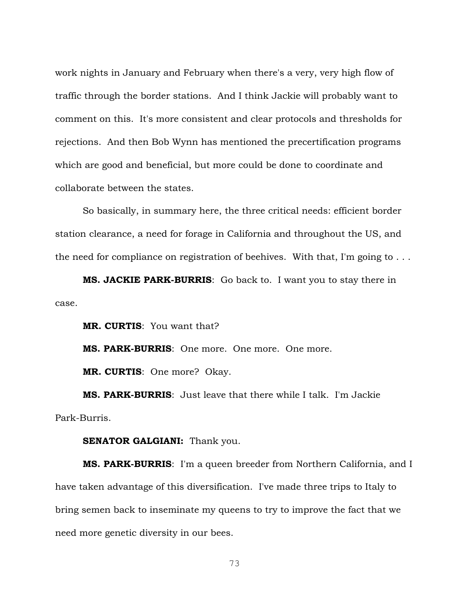work nights in January and February when there's a very, very high flow of traffic through the border stations. And I think Jackie will probably want to comment on this. It's more consistent and clear protocols and thresholds for rejections. And then Bob Wynn has mentioned the precertification programs which are good and beneficial, but more could be done to coordinate and collaborate between the states.

So basically, in summary here, the three critical needs: efficient border station clearance, a need for forage in California and throughout the US, and the need for compliance on registration of beehives. With that, I'm going to . . .

**MS. JACKIE PARK-BURRIS**: Go back to. I want you to stay there in case.

**MR. CURTIS**: You want that?

**MS. PARK-BURRIS**: One more. One more. One more.

**MR. CURTIS**: One more? Okay.

**MS. PARK-BURRIS**: Just leave that there while I talk. I'm Jackie Park-Burris.

## **SENATOR GALGIANI:** Thank you.

**MS. PARK-BURRIS**: I'm a queen breeder from Northern California, and I have taken advantage of this diversification. I've made three trips to Italy to bring semen back to inseminate my queens to try to improve the fact that we need more genetic diversity in our bees.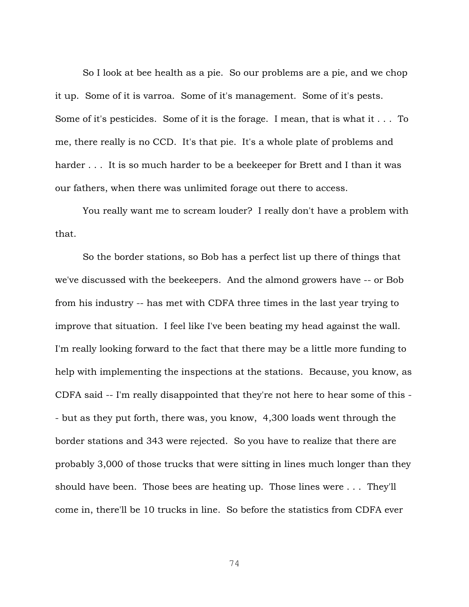So I look at bee health as a pie. So our problems are a pie, and we chop it up. Some of it is varroa. Some of it's management. Some of it's pests. Some of it's pesticides. Some of it is the forage. I mean, that is what it . . . To me, there really is no CCD. It's that pie. It's a whole plate of problems and harder . . . It is so much harder to be a beekeeper for Brett and I than it was our fathers, when there was unlimited forage out there to access.

You really want me to scream louder? I really don't have a problem with that.

So the border stations, so Bob has a perfect list up there of things that we've discussed with the beekeepers. And the almond growers have -- or Bob from his industry -- has met with CDFA three times in the last year trying to improve that situation. I feel like I've been beating my head against the wall. I'm really looking forward to the fact that there may be a little more funding to help with implementing the inspections at the stations. Because, you know, as CDFA said -- I'm really disappointed that they're not here to hear some of this - - but as they put forth, there was, you know, 4,300 loads went through the border stations and 343 were rejected. So you have to realize that there are probably 3,000 of those trucks that were sitting in lines much longer than they should have been. Those bees are heating up. Those lines were . . . They'll come in, there'll be 10 trucks in line. So before the statistics from CDFA ever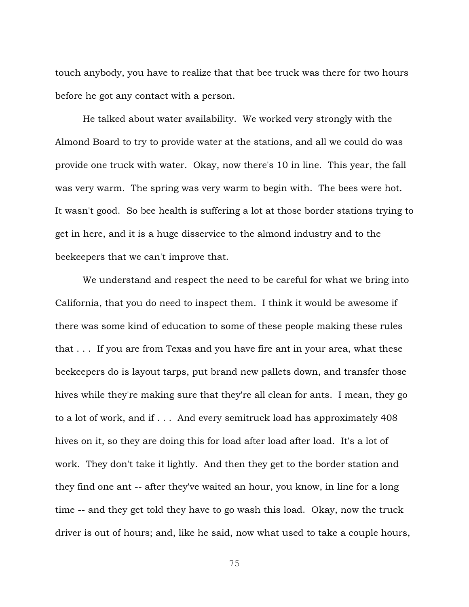touch anybody, you have to realize that that bee truck was there for two hours before he got any contact with a person.

He talked about water availability. We worked very strongly with the Almond Board to try to provide water at the stations, and all we could do was provide one truck with water. Okay, now there's 10 in line. This year, the fall was very warm. The spring was very warm to begin with. The bees were hot. It wasn't good. So bee health is suffering a lot at those border stations trying to get in here, and it is a huge disservice to the almond industry and to the beekeepers that we can't improve that.

We understand and respect the need to be careful for what we bring into California, that you do need to inspect them. I think it would be awesome if there was some kind of education to some of these people making these rules that . . . If you are from Texas and you have fire ant in your area, what these beekeepers do is layout tarps, put brand new pallets down, and transfer those hives while they're making sure that they're all clean for ants. I mean, they go to a lot of work, and if . . . And every semitruck load has approximately 408 hives on it, so they are doing this for load after load after load. It's a lot of work. They don't take it lightly. And then they get to the border station and they find one ant -- after they've waited an hour, you know, in line for a long time -- and they get told they have to go wash this load. Okay, now the truck driver is out of hours; and, like he said, now what used to take a couple hours,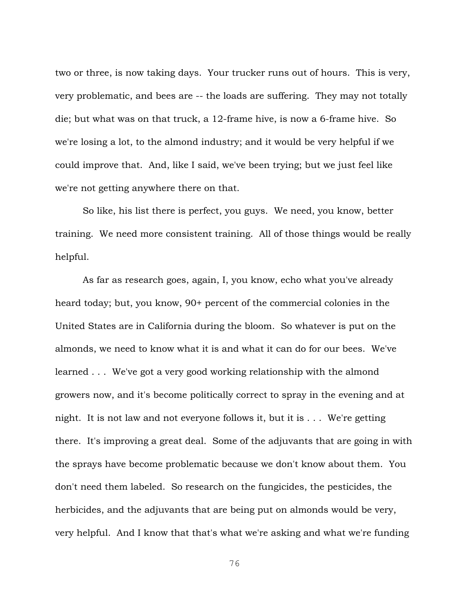two or three, is now taking days. Your trucker runs out of hours. This is very, very problematic, and bees are -- the loads are suffering. They may not totally die; but what was on that truck, a 12-frame hive, is now a 6-frame hive. So we're losing a lot, to the almond industry; and it would be very helpful if we could improve that. And, like I said, we've been trying; but we just feel like we're not getting anywhere there on that.

So like, his list there is perfect, you guys. We need, you know, better training. We need more consistent training. All of those things would be really helpful.

As far as research goes, again, I, you know, echo what you've already heard today; but, you know, 90+ percent of the commercial colonies in the United States are in California during the bloom. So whatever is put on the almonds, we need to know what it is and what it can do for our bees. We've learned . . . We've got a very good working relationship with the almond growers now, and it's become politically correct to spray in the evening and at night. It is not law and not everyone follows it, but it is . . . We're getting there. It's improving a great deal. Some of the adjuvants that are going in with the sprays have become problematic because we don't know about them. You don't need them labeled. So research on the fungicides, the pesticides, the herbicides, and the adjuvants that are being put on almonds would be very, very helpful. And I know that that's what we're asking and what we're funding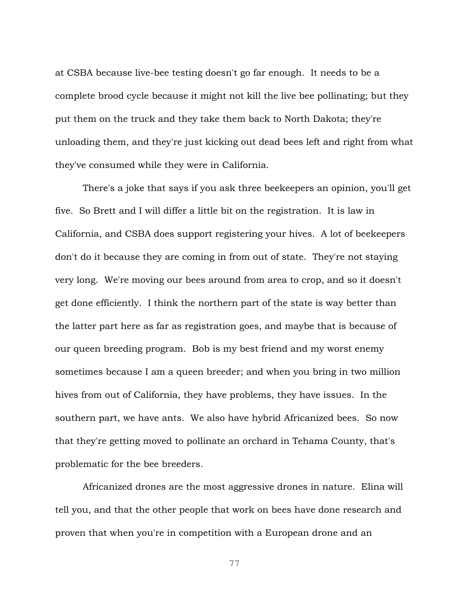at CSBA because live-bee testing doesn't go far enough. It needs to be a complete brood cycle because it might not kill the live bee pollinating; but they put them on the truck and they take them back to North Dakota; they're unloading them, and they're just kicking out dead bees left and right from what they've consumed while they were in California.

There's a joke that says if you ask three beekeepers an opinion, you'll get five. So Brett and I will differ a little bit on the registration. It is law in California, and CSBA does support registering your hives. A lot of beekeepers don't do it because they are coming in from out of state. They're not staying very long. We're moving our bees around from area to crop, and so it doesn't get done efficiently. I think the northern part of the state is way better than the latter part here as far as registration goes, and maybe that is because of our queen breeding program. Bob is my best friend and my worst enemy sometimes because I am a queen breeder; and when you bring in two million hives from out of California, they have problems, they have issues. In the southern part, we have ants. We also have hybrid Africanized bees. So now that they're getting moved to pollinate an orchard in Tehama County, that's problematic for the bee breeders.

Africanized drones are the most aggressive drones in nature. Elina will tell you, and that the other people that work on bees have done research and proven that when you're in competition with a European drone and an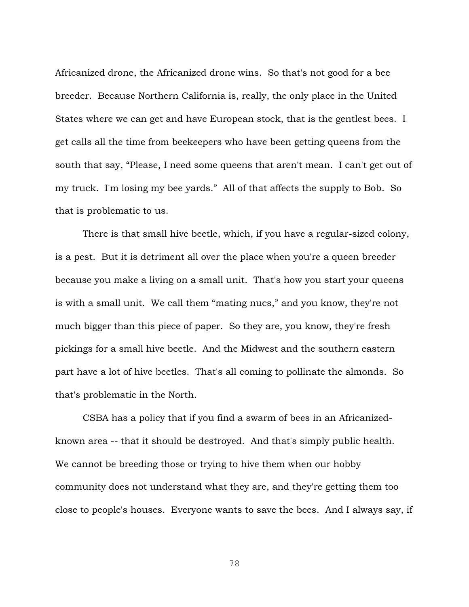Africanized drone, the Africanized drone wins. So that's not good for a bee breeder. Because Northern California is, really, the only place in the United States where we can get and have European stock, that is the gentlest bees. I get calls all the time from beekeepers who have been getting queens from the south that say, "Please, I need some queens that aren't mean. I can't get out of my truck. I'm losing my bee yards." All of that affects the supply to Bob. So that is problematic to us.

There is that small hive beetle, which, if you have a regular-sized colony, is a pest. But it is detriment all over the place when you're a queen breeder because you make a living on a small unit. That's how you start your queens is with a small unit. We call them "mating nucs," and you know, they're not much bigger than this piece of paper. So they are, you know, they're fresh pickings for a small hive beetle. And the Midwest and the southern eastern part have a lot of hive beetles. That's all coming to pollinate the almonds. So that's problematic in the North.

CSBA has a policy that if you find a swarm of bees in an Africanizedknown area -- that it should be destroyed. And that's simply public health. We cannot be breeding those or trying to hive them when our hobby community does not understand what they are, and they're getting them too close to people's houses. Everyone wants to save the bees. And I always say, if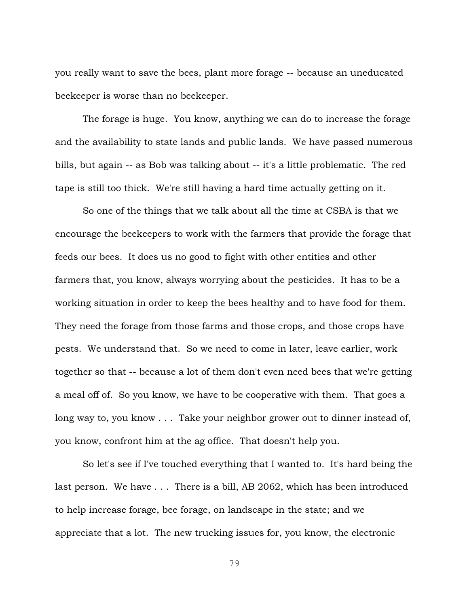you really want to save the bees, plant more forage -- because an uneducated beekeeper is worse than no beekeeper.

The forage is huge. You know, anything we can do to increase the forage and the availability to state lands and public lands. We have passed numerous bills, but again -- as Bob was talking about -- it's a little problematic. The red tape is still too thick. We're still having a hard time actually getting on it.

So one of the things that we talk about all the time at CSBA is that we encourage the beekeepers to work with the farmers that provide the forage that feeds our bees. It does us no good to fight with other entities and other farmers that, you know, always worrying about the pesticides. It has to be a working situation in order to keep the bees healthy and to have food for them. They need the forage from those farms and those crops, and those crops have pests. We understand that. So we need to come in later, leave earlier, work together so that -- because a lot of them don't even need bees that we're getting a meal off of. So you know, we have to be cooperative with them. That goes a long way to, you know . . . Take your neighbor grower out to dinner instead of, you know, confront him at the ag office. That doesn't help you.

So let's see if I've touched everything that I wanted to. It's hard being the last person. We have . . . There is a bill, AB 2062, which has been introduced to help increase forage, bee forage, on landscape in the state; and we appreciate that a lot. The new trucking issues for, you know, the electronic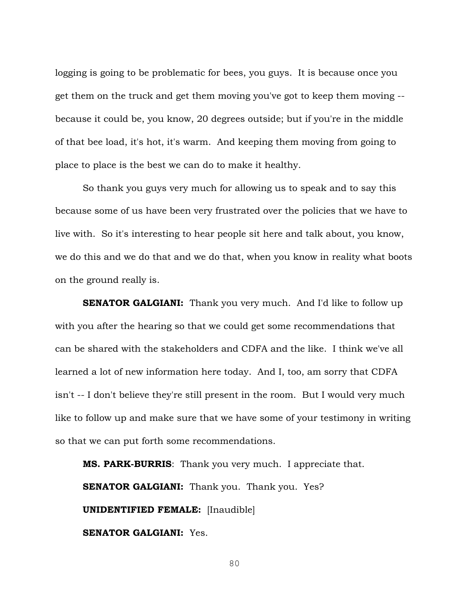logging is going to be problematic for bees, you guys. It is because once you get them on the truck and get them moving you've got to keep them moving - because it could be, you know, 20 degrees outside; but if you're in the middle of that bee load, it's hot, it's warm. And keeping them moving from going to place to place is the best we can do to make it healthy.

So thank you guys very much for allowing us to speak and to say this because some of us have been very frustrated over the policies that we have to live with. So it's interesting to hear people sit here and talk about, you know, we do this and we do that and we do that, when you know in reality what boots on the ground really is.

**SENATOR GALGIANI:** Thank you very much. And I'd like to follow up with you after the hearing so that we could get some recommendations that can be shared with the stakeholders and CDFA and the like. I think we've all learned a lot of new information here today. And I, too, am sorry that CDFA isn't -- I don't believe they're still present in the room. But I would very much like to follow up and make sure that we have some of your testimony in writing so that we can put forth some recommendations.

**MS. PARK-BURRIS**: Thank you very much. I appreciate that. **SENATOR GALGIANI:** Thank you. Thank you. Yes? **UNIDENTIFIED FEMALE:** [Inaudible] **SENATOR GALGIANI:** Yes.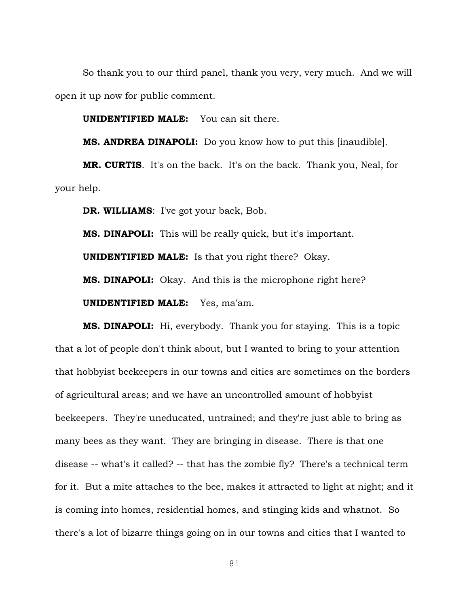So thank you to our third panel, thank you very, very much. And we will open it up now for public comment.

**UNIDENTIFIED MALE:** You can sit there.

**MS. ANDREA DINAPOLI:** Do you know how to put this [inaudible].

**MR. CURTIS**. It's on the back. It's on the back. Thank you, Neal, for your help.

**DR. WILLIAMS**: I've got your back, Bob.

**MS. DINAPOLI:** This will be really quick, but it's important.

**UNIDENTIFIED MALE:** Is that you right there? Okay.

**MS. DINAPOLI:** Okay. And this is the microphone right here?

**UNIDENTIFIED MALE:** Yes, ma'am.

**MS. DINAPOLI:** Hi, everybody. Thank you for staying. This is a topic that a lot of people don't think about, but I wanted to bring to your attention that hobbyist beekeepers in our towns and cities are sometimes on the borders of agricultural areas; and we have an uncontrolled amount of hobbyist beekeepers. They're uneducated, untrained; and they're just able to bring as many bees as they want. They are bringing in disease. There is that one disease -- what's it called? -- that has the zombie fly? There's a technical term for it. But a mite attaches to the bee, makes it attracted to light at night; and it is coming into homes, residential homes, and stinging kids and whatnot. So there's a lot of bizarre things going on in our towns and cities that I wanted to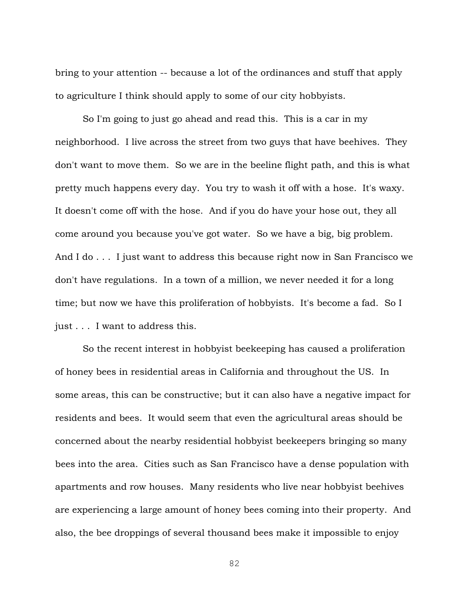bring to your attention -- because a lot of the ordinances and stuff that apply to agriculture I think should apply to some of our city hobbyists.

So I'm going to just go ahead and read this. This is a car in my neighborhood. I live across the street from two guys that have beehives. They don't want to move them. So we are in the beeline flight path, and this is what pretty much happens every day. You try to wash it off with a hose. It's waxy. It doesn't come off with the hose. And if you do have your hose out, they all come around you because you've got water. So we have a big, big problem. And I do . . . I just want to address this because right now in San Francisco we don't have regulations. In a town of a million, we never needed it for a long time; but now we have this proliferation of hobbyists. It's become a fad. So I just . . . I want to address this.

So the recent interest in hobbyist beekeeping has caused a proliferation of honey bees in residential areas in California and throughout the US. In some areas, this can be constructive; but it can also have a negative impact for residents and bees. It would seem that even the agricultural areas should be concerned about the nearby residential hobbyist beekeepers bringing so many bees into the area. Cities such as San Francisco have a dense population with apartments and row houses. Many residents who live near hobbyist beehives are experiencing a large amount of honey bees coming into their property. And also, the bee droppings of several thousand bees make it impossible to enjoy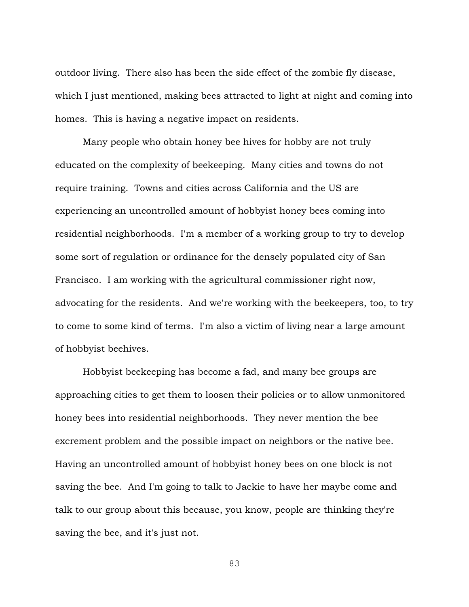outdoor living. There also has been the side effect of the zombie fly disease, which I just mentioned, making bees attracted to light at night and coming into homes. This is having a negative impact on residents.

Many people who obtain honey bee hives for hobby are not truly educated on the complexity of beekeeping. Many cities and towns do not require training. Towns and cities across California and the US are experiencing an uncontrolled amount of hobbyist honey bees coming into residential neighborhoods. I'm a member of a working group to try to develop some sort of regulation or ordinance for the densely populated city of San Francisco. I am working with the agricultural commissioner right now, advocating for the residents. And we're working with the beekeepers, too, to try to come to some kind of terms. I'm also a victim of living near a large amount of hobbyist beehives.

Hobbyist beekeeping has become a fad, and many bee groups are approaching cities to get them to loosen their policies or to allow unmonitored honey bees into residential neighborhoods. They never mention the bee excrement problem and the possible impact on neighbors or the native bee. Having an uncontrolled amount of hobbyist honey bees on one block is not saving the bee. And I'm going to talk to Jackie to have her maybe come and talk to our group about this because, you know, people are thinking they're saving the bee, and it's just not.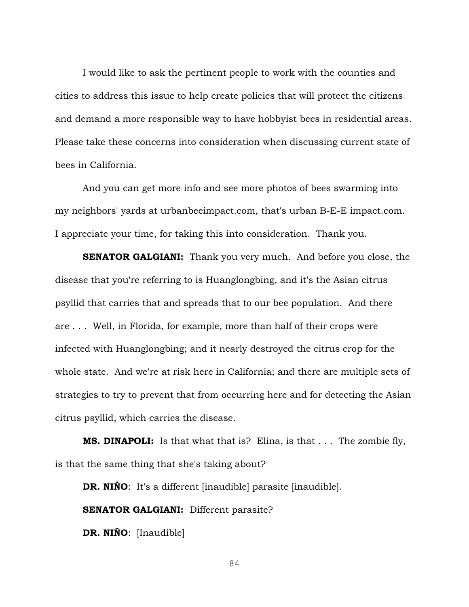I would like to ask the pertinent people to work with the counties and cities to address this issue to help create policies that will protect the citizens and demand a more responsible way to have hobbyist bees in residential areas. Please take these concerns into consideration when discussing current state of bees in California.

And you can get more info and see more photos of bees swarming into my neighbors' yards at urbanbeeimpact.com, that's urban B-E-E impact.com. I appreciate your time, for taking this into consideration. Thank you.

**SENATOR GALGIANI:** Thank you very much. And before you close, the disease that you're referring to is Huanglongbing, and it's the Asian citrus psyllid that carries that and spreads that to our bee population. And there are . . . Well, in Florida, for example, more than half of their crops were infected with Huanglongbing; and it nearly destroyed the citrus crop for the whole state. And we're at risk here in California; and there are multiple sets of strategies to try to prevent that from occurring here and for detecting the Asian citrus psyllid, which carries the disease.

**MS. DINAPOLI:** Is that what that is? Elina, is that . . . The zombie fly, is that the same thing that she's taking about?

**DR. NIÑO**: It's a different [inaudible] parasite [inaudible].

**SENATOR GALGIANI:** Different parasite?

**DR. NIÑO**: [Inaudible]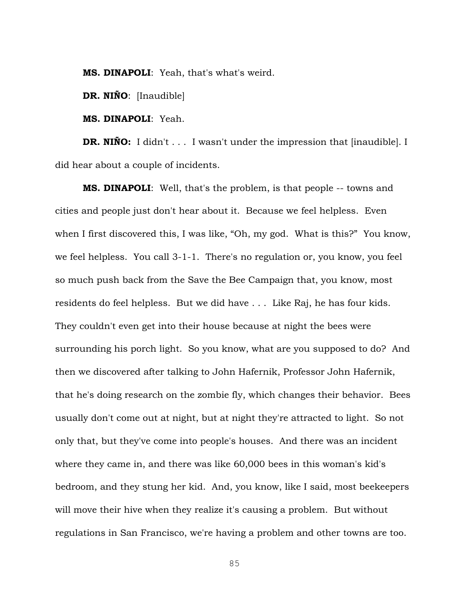**MS. DINAPOLI**: Yeah, that's what's weird.

**DR. NIÑO**: [Inaudible]

**MS. DINAPOLI**: Yeah.

**DR. NIÑO:** I didn't . . . I wasn't under the impression that [inaudible]. I did hear about a couple of incidents.

**MS. DINAPOLI**: Well, that's the problem, is that people -- towns and cities and people just don't hear about it. Because we feel helpless. Even when I first discovered this, I was like, "Oh, my god. What is this?" You know, we feel helpless. You call 3-1-1. There's no regulation or, you know, you feel so much push back from the Save the Bee Campaign that, you know, most residents do feel helpless. But we did have . . . Like Raj, he has four kids. They couldn't even get into their house because at night the bees were surrounding his porch light. So you know, what are you supposed to do? And then we discovered after talking to John Hafernik, Professor John Hafernik, that he's doing research on the zombie fly, which changes their behavior. Bees usually don't come out at night, but at night they're attracted to light. So not only that, but they've come into people's houses. And there was an incident where they came in, and there was like 60,000 bees in this woman's kid's bedroom, and they stung her kid. And, you know, like I said, most beekeepers will move their hive when they realize it's causing a problem. But without regulations in San Francisco, we're having a problem and other towns are too.